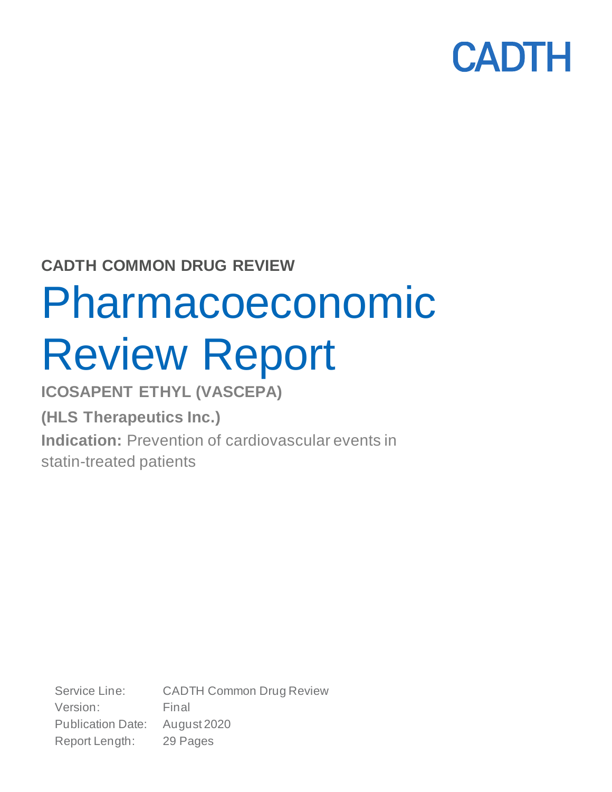

## **CADTH COMMON DRUG REVIEW**

# Pharmacoeconomic Review Report

**ICOSAPENT ETHYL (VASCEPA)**

**(HLS Therapeutics Inc.) Indication:** Prevention of cardiovascular events in statin-treated patients

Service Line: CADTH Common Drug Review Version: Final Publication Date: August 2020 Report Length: 29 Pages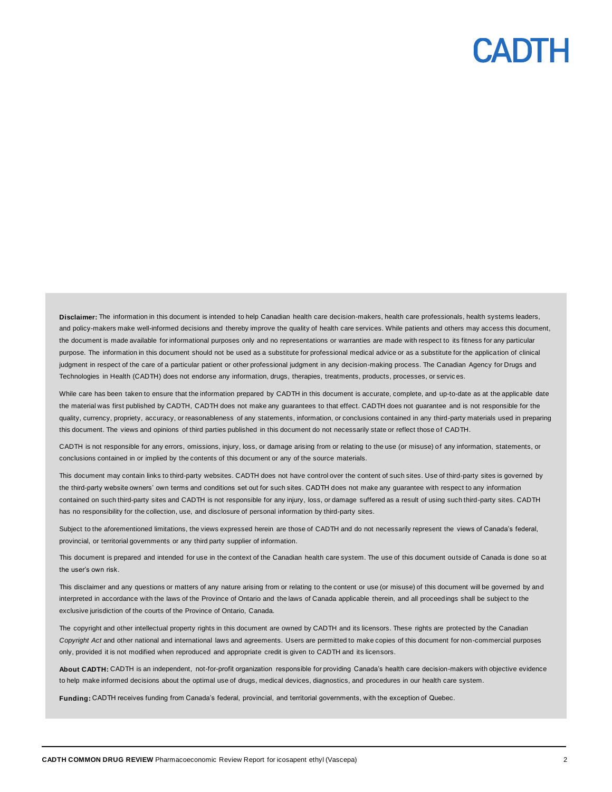**Disclaimer:** The information in this document is intended to help Canadian health care decision-makers, health care professionals, health systems leaders, and policy-makers make well-informed decisions and thereby improve the quality of health care services. While patients and others may access this document, the document is made available for informational purposes only and no representations or warranties are made with respect to its fitness for any particular purpose. The information in this document should not be used as a substitute for professional medical advice or as a substitute for the application of clinical judgment in respect of the care of a particular patient or other professional judgment in any decision-making process. The Canadian Agency for Drugs and Technologies in Health (CADTH) does not endorse any information, drugs, therapies, treatments, products, processes, or servic es.

While care has been taken to ensure that the information prepared by CADTH in this document is accurate, complete, and up-to-date as at the applicable date the material was first published by CADTH, CADTH does not make any guarantees to that effect. CADTH does not guarantee and is not responsible for the quality, currency, propriety, accuracy, or reasonableness of any statements, information, or conclusions contained in any third-party materials used in preparing this document. The views and opinions of third parties published in this document do not necessarily state or reflect those of CADTH.

CADTH is not responsible for any errors, omissions, injury, loss, or damage arising from or relating to the use (or misuse) of any information, statements, or conclusions contained in or implied by the contents of this document or any of the source materials.

This document may contain links to third-party websites. CADTH does not have control over the content of such sites. Use of third-party sites is governed by the third-party website owners' own terms and conditions set out for such sites. CADTH does not make any guarantee with respect to any information contained on such third-party sites and CADTH is not responsible for any injury, loss, or damage suffered as a result of using such third-party sites. CADTH has no responsibility for the collection, use, and disclosure of personal information by third-party sites.

Subject to the aforementioned limitations, the views expressed herein are those of CADTH and do not necessarily represent the views of Canada's federal, provincial, or territorial governments or any third party supplier of information.

This document is prepared and intended for use in the context of the Canadian health care system. The use of this document outside of Canada is done so at the user's own risk.

This disclaimer and any questions or matters of any nature arising from or relating to the content or use (or misuse) of this document will be governed by and interpreted in accordance with the laws of the Province of Ontario and the laws of Canada applicable therein, and all proceedings shall be subject to the exclusive jurisdiction of the courts of the Province of Ontario, Canada.

The copyright and other intellectual property rights in this document are owned by CADTH and its licensors. These rights are protected by the Canadian *Copyright Act* and other national and international laws and agreements. Users are permitted to make copies of this document for non-commercial purposes only, provided it is not modified when reproduced and appropriate credit is given to CADTH and its licensors.

**About CADTH:** CADTH is an independent, not-for-profit organization responsible for providing Canada's health care decision-makers with objective evidence to help make informed decisions about the optimal use of drugs, medical devices, diagnostics, and procedures in our health care system.

**Funding:** CADTH receives funding from Canada's federal, provincial, and territorial governments, with the exception of Quebec.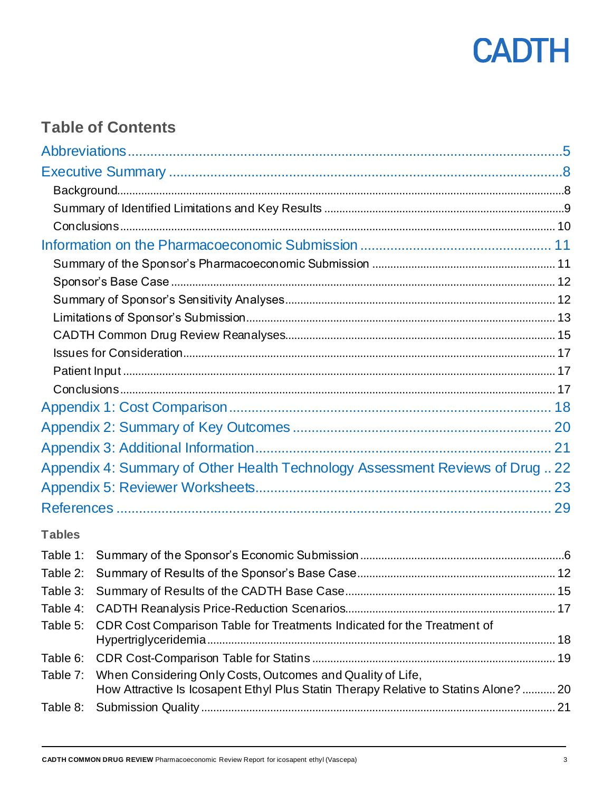

## **Table of Contents**

|               | Appendix 4: Summary of Other Health Technology Assessment Reviews of Drug 22                                                                       |  |
|---------------|----------------------------------------------------------------------------------------------------------------------------------------------------|--|
|               |                                                                                                                                                    |  |
|               |                                                                                                                                                    |  |
| <b>Tables</b> |                                                                                                                                                    |  |
|               |                                                                                                                                                    |  |
|               |                                                                                                                                                    |  |
|               |                                                                                                                                                    |  |
| Table 4:      |                                                                                                                                                    |  |
| Table 5:      | CDR Cost Comparison Table for Treatments Indicated for the Treatment of                                                                            |  |
| Table 6:      |                                                                                                                                                    |  |
| Table 7:      | When Considering Only Costs, Outcomes and Quality of Life,<br>How Attractive Is Icosapent Ethyl Plus Statin Therapy Relative to Statins Alone?  20 |  |
| Table 8:      |                                                                                                                                                    |  |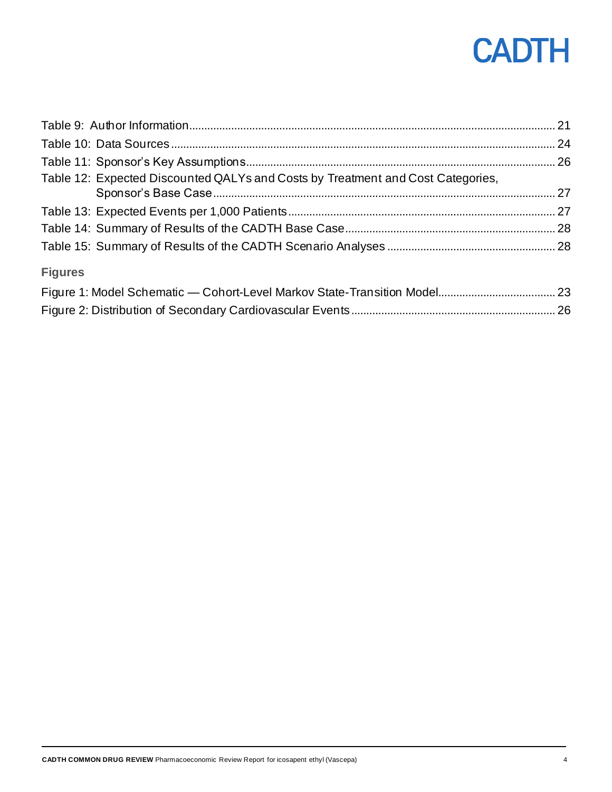| Table 12: Expected Discounted QALYs and Costs by Treatment and Cost Categories,                                                                                                                                                                                                |        |
|--------------------------------------------------------------------------------------------------------------------------------------------------------------------------------------------------------------------------------------------------------------------------------|--------|
|                                                                                                                                                                                                                                                                                |        |
|                                                                                                                                                                                                                                                                                |        |
|                                                                                                                                                                                                                                                                                |        |
| <b>Figures</b>                                                                                                                                                                                                                                                                 |        |
| $\Box$ and $\Box$ and $\Box$ and $\Box$ and $\Box$ and $\Box$ and $\Box$ and $\Box$ and $\Box$ and $\Box$ and $\Box$ and $\Box$ and $\Box$ and $\Box$ and $\Box$ and $\Box$ and $\Box$ and $\Box$ and $\Box$ and $\Box$ and $\Box$ and $\Box$ and $\Box$ and $\Box$ and $\Box$ | $\sim$ |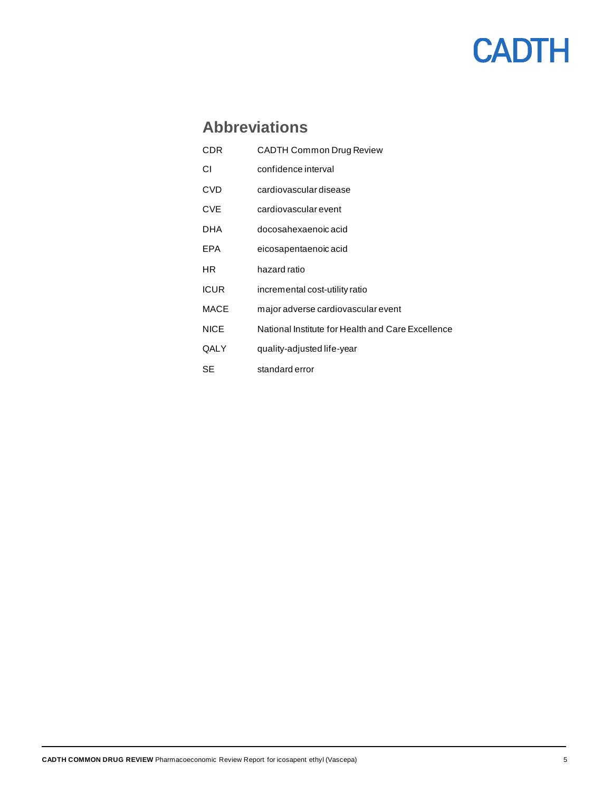## **Abbreviations**

<span id="page-4-0"></span>

| CDR         | <b>CADTH Common Drug Review</b>                   |
|-------------|---------------------------------------------------|
| СI          | confidence interval                               |
| CVD         | cardiovascular disease                            |
| CVE         | cardiovascular event                              |
| DHA         | docosahexaenoic acid                              |
| EPA         | eicosapentaenoic acid                             |
| HR          | hazard ratio                                      |
| <b>ICUR</b> | incremental cost-utility ratio                    |
| <b>MACE</b> | major adverse cardiovascular event                |
| <b>NICE</b> | National Institute for Health and Care Excellence |
| QALY        | quality-adjusted life-year                        |
| SE          | standard error                                    |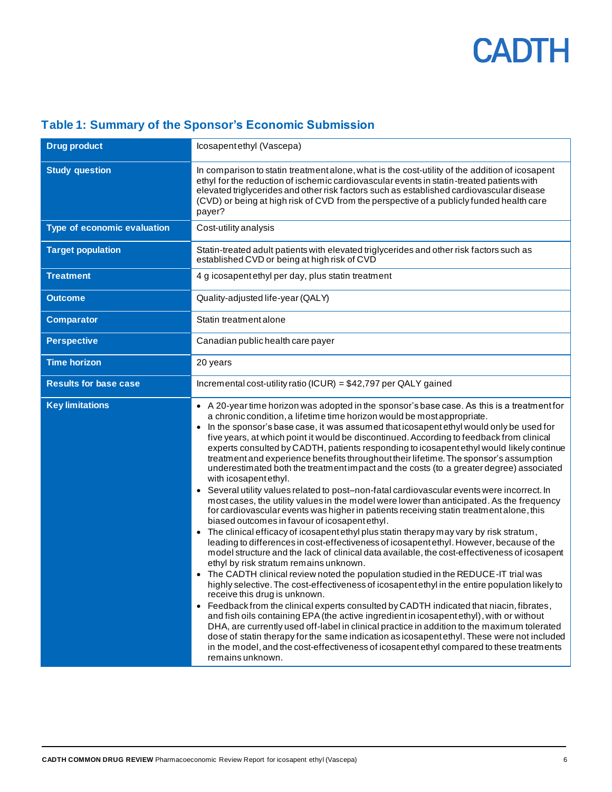<span id="page-5-0"></span>

| Table 1: Summary of the Sponsor's Economic Submission |  |  |
|-------------------------------------------------------|--|--|
|                                                       |  |  |

| <b>Drug product</b>          | Icosapentethyl (Vascepa)                                                                                                                                                                                                                                                                                                                                                                                                                                                                                                                                                                                                                                                                                                                                                                                                                                                                                                                                                                                                                                                                                                                                                                                                                                                                                                                                                                                                                                                                                                                                                                                                                                                                                                                                                                                                                                                                                                                                                                                                                                                                  |
|------------------------------|-------------------------------------------------------------------------------------------------------------------------------------------------------------------------------------------------------------------------------------------------------------------------------------------------------------------------------------------------------------------------------------------------------------------------------------------------------------------------------------------------------------------------------------------------------------------------------------------------------------------------------------------------------------------------------------------------------------------------------------------------------------------------------------------------------------------------------------------------------------------------------------------------------------------------------------------------------------------------------------------------------------------------------------------------------------------------------------------------------------------------------------------------------------------------------------------------------------------------------------------------------------------------------------------------------------------------------------------------------------------------------------------------------------------------------------------------------------------------------------------------------------------------------------------------------------------------------------------------------------------------------------------------------------------------------------------------------------------------------------------------------------------------------------------------------------------------------------------------------------------------------------------------------------------------------------------------------------------------------------------------------------------------------------------------------------------------------------------|
| <b>Study question</b>        | In comparison to statin treatment alone, what is the cost-utility of the addition of icosapent<br>ethyl for the reduction of ischemic cardiovascular events in statin-treated patients with<br>elevated triglycerides and other risk factors such as established cardiovascular disease<br>(CVD) or being at high risk of CVD from the perspective of a publicly funded health care<br>payer?                                                                                                                                                                                                                                                                                                                                                                                                                                                                                                                                                                                                                                                                                                                                                                                                                                                                                                                                                                                                                                                                                                                                                                                                                                                                                                                                                                                                                                                                                                                                                                                                                                                                                             |
| Type of economic evaluation  | Cost-utility analysis                                                                                                                                                                                                                                                                                                                                                                                                                                                                                                                                                                                                                                                                                                                                                                                                                                                                                                                                                                                                                                                                                                                                                                                                                                                                                                                                                                                                                                                                                                                                                                                                                                                                                                                                                                                                                                                                                                                                                                                                                                                                     |
| <b>Target population</b>     | Statin-treated adult patients with elevated triglycerides and other risk factors such as<br>established CVD or being at high risk of CVD                                                                                                                                                                                                                                                                                                                                                                                                                                                                                                                                                                                                                                                                                                                                                                                                                                                                                                                                                                                                                                                                                                                                                                                                                                                                                                                                                                                                                                                                                                                                                                                                                                                                                                                                                                                                                                                                                                                                                  |
| <b>Treatment</b>             | 4 g icosapent ethyl per day, plus statin treatment                                                                                                                                                                                                                                                                                                                                                                                                                                                                                                                                                                                                                                                                                                                                                                                                                                                                                                                                                                                                                                                                                                                                                                                                                                                                                                                                                                                                                                                                                                                                                                                                                                                                                                                                                                                                                                                                                                                                                                                                                                        |
| <b>Outcome</b>               | Quality-adjusted life-year (QALY)                                                                                                                                                                                                                                                                                                                                                                                                                                                                                                                                                                                                                                                                                                                                                                                                                                                                                                                                                                                                                                                                                                                                                                                                                                                                                                                                                                                                                                                                                                                                                                                                                                                                                                                                                                                                                                                                                                                                                                                                                                                         |
| <b>Comparator</b>            | Statin treatment alone                                                                                                                                                                                                                                                                                                                                                                                                                                                                                                                                                                                                                                                                                                                                                                                                                                                                                                                                                                                                                                                                                                                                                                                                                                                                                                                                                                                                                                                                                                                                                                                                                                                                                                                                                                                                                                                                                                                                                                                                                                                                    |
| <b>Perspective</b>           | Canadian public health care payer                                                                                                                                                                                                                                                                                                                                                                                                                                                                                                                                                                                                                                                                                                                                                                                                                                                                                                                                                                                                                                                                                                                                                                                                                                                                                                                                                                                                                                                                                                                                                                                                                                                                                                                                                                                                                                                                                                                                                                                                                                                         |
| <b>Time horizon</b>          | 20 years                                                                                                                                                                                                                                                                                                                                                                                                                                                                                                                                                                                                                                                                                                                                                                                                                                                                                                                                                                                                                                                                                                                                                                                                                                                                                                                                                                                                                                                                                                                                                                                                                                                                                                                                                                                                                                                                                                                                                                                                                                                                                  |
| <b>Results for base case</b> | Incremental cost-utility ratio (ICUR) = \$42,797 per QALY gained                                                                                                                                                                                                                                                                                                                                                                                                                                                                                                                                                                                                                                                                                                                                                                                                                                                                                                                                                                                                                                                                                                                                                                                                                                                                                                                                                                                                                                                                                                                                                                                                                                                                                                                                                                                                                                                                                                                                                                                                                          |
| <b>Key limitations</b>       | • A 20-year time horizon was adopted in the sponsor's base case. As this is a treatment for<br>a chronic condition, a lifetime time horizon would be most appropriate.<br>• In the sponsor's base case, it was assumed that icosapent ethyl would only be used for<br>five years, at which point it would be discontinued. According to feedback from clinical<br>experts consulted by CADTH, patients responding to icosapent ethyl would likely continue<br>treatment and experience benefits throughout their lifetime. The sponsor's assumption<br>underestimated both the treatment impact and the costs (to a greater degree) associated<br>with icosapent ethyl.<br>• Several utility values related to post-non-fatal cardiovascular events were incorrect. In<br>most cases, the utility values in the model were lower than anticipated. As the frequency<br>for cardiovascular events was higher in patients receiving statin treatment alone, this<br>biased outcomes in favour of icosapent ethyl.<br>The clinical efficacy of icosapent ethyl plus statin therapy may vary by risk stratum,<br>$\bullet$<br>leading to differences in cost-effectiveness of icosapent ethyl. However, because of the<br>model structure and the lack of clinical data available, the cost-effectiveness of icosapent<br>ethyl by risk stratum remains unknown.<br>The CADTH clinical review noted the population studied in the REDUCE-IT trial was<br>highly selective. The cost-effectiveness of icosapent ethyl in the entire population likely to<br>receive this drug is unknown.<br>• Feedback from the clinical experts consulted by CADTH indicated that niacin, fibrates,<br>and fish oils containing EPA (the active ingredient in icosapent ethyl), with or without<br>DHA, are currently used off-label in clinical practice in addition to the maximum tolerated<br>dose of statin therapy for the same indication as icosapent ethyl. These were not included<br>in the model, and the cost-effectiveness of icosapent ethyl compared to these treatments<br>remains unknown. |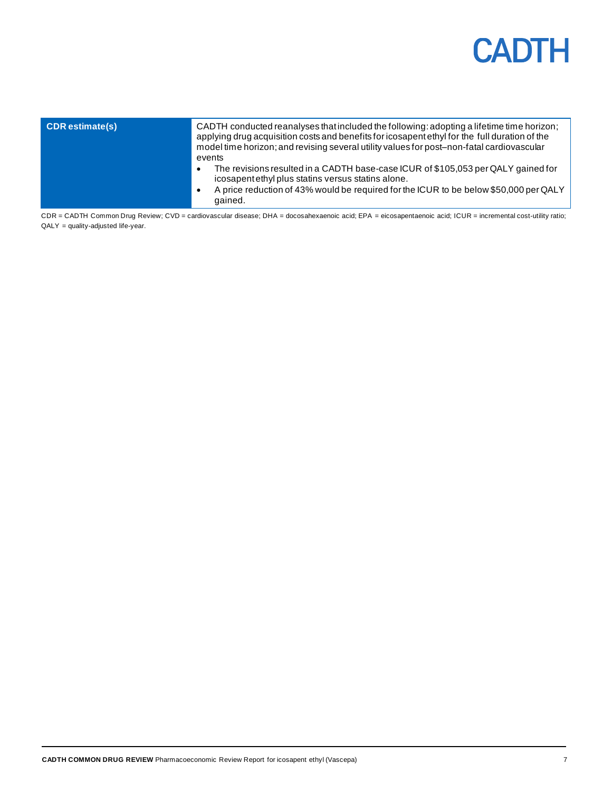| <b>CDR</b> estimate(s) | CADTH conducted reanalyses that included the following: adopting a lifetime time horizon;<br>applying drug acquisition costs and benefits for icosapent ethyl for the full duration of the<br>model time horizon; and revising several utility values for post-non-fatal cardiovascular<br>events |
|------------------------|---------------------------------------------------------------------------------------------------------------------------------------------------------------------------------------------------------------------------------------------------------------------------------------------------|
|                        | The revisions resulted in a CADTH base-case ICUR of \$105,053 per QALY gained for<br>$\bullet$<br>icosapent ethyl plus statins versus statins alone.<br>A price reduction of 43% would be required for the ICUR to be below \$50,000 per QALY<br>gained.                                          |

CDR = CADTH Common Drug Review; CVD = cardiovascular disease; DHA = docosahexaenoic acid; EPA = eicosapentaenoic acid; ICUR = incremental cost-utility ratio;  $QALY = quality$ -adjusted life-year.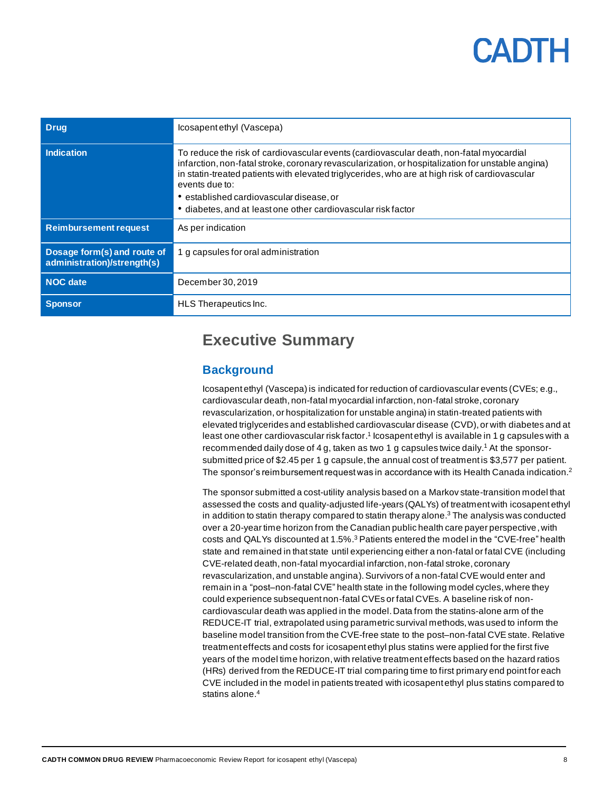| <b>Drug</b>                                                | Icosapentethyl (Vascepa)                                                                                                                                                                                                                                                                                                                                                                                                      |
|------------------------------------------------------------|-------------------------------------------------------------------------------------------------------------------------------------------------------------------------------------------------------------------------------------------------------------------------------------------------------------------------------------------------------------------------------------------------------------------------------|
| <b>Indication</b>                                          | To reduce the risk of cardiovascular events (cardiovascular death, non-fatal myocardial<br>infarction, non-fatal stroke, coronary revascularization, or hospitalization for unstable angina)<br>in statin-treated patients with elevated triglycerides, who are at high risk of cardiovascular<br>events due to:<br>• established cardiovascular disease, or<br>• diabetes, and at least one other cardiovascular risk factor |
| <b>Reimbursement request</b>                               | As per indication                                                                                                                                                                                                                                                                                                                                                                                                             |
| Dosage form(s) and route of<br>administration)/strength(s) | 1 g capsules for oral administration                                                                                                                                                                                                                                                                                                                                                                                          |
| <b>NOC</b> date                                            | December 30, 2019                                                                                                                                                                                                                                                                                                                                                                                                             |
| <b>Sponsor</b>                                             | HLS Therapeutics Inc.                                                                                                                                                                                                                                                                                                                                                                                                         |

## <span id="page-7-0"></span>**Executive Summary**

### <span id="page-7-1"></span>**Background**

Icosapent ethyl (Vascepa) is indicated for reduction of cardiovascular events (CVEs; e.g., cardiovascular death, non-fatal myocardial infarction, non-fatal stroke, coronary revascularization, or hospitalization for unstable angina) in statin-treated patients with elevated triglycerides and established cardiovascular disease (CVD), or with diabetes and at least one other cardiovascular risk factor.<sup>1</sup> Icosapent ethyl is available in 1 g capsules with a recommended daily dose of 4 g, taken as two 1 g capsules twice daily.<sup>1</sup> At the sponsorsubmitted price of \$2.45 per 1 g capsule, the annual cost of treatment is \$3,577 per patient. The sponsor's reimbursement request was in accordance with its Health Canada indication. $2$ 

The sponsor submitted a cost-utility analysis based on a Markov state-transition model that assessed the costs and quality-adjusted life-years (QALYs) of treatment with icosapent ethyl in addition to statin therapy compared to statin therapy alone.<sup>3</sup> The analysis was conducted over a 20-year time horizon from the Canadian public health care payer perspective, with costs and QALYs discounted at 1.5%. <sup>3</sup> Patients entered the model in the "CVE-free" health state and remained in that state until experiencing either a non-fatal orfatal CVE (including CVE-related death, non-fatal myocardial infarction, non-fatal stroke, coronary revascularization, and unstable angina).Survivors of a non-fatal CVE would enter and remain in a "post-non-fatal CVE" health state in the following model cycles, where they could experience subsequent non-fatal CVEs or fatal CVEs. A baseline risk of noncardiovascular death was applied in the model.Data from the statins-alone arm of the REDUCE-IT trial, extrapolated using parametric survival methods, was used to inform the baseline model transition from the CVE-free state to the post–non-fatal CVE state. Relative treatment effects and costs for icosapent ethyl plus statins were applied for the first five years of the model time horizon, with relative treatment effects based on the hazard ratios (HRs) derived from the REDUCE-IT trial comparing time to first primary end point for each CVE included in the model in patients treated with icosapent ethyl plus statins compared to statins alone.<sup>4</sup>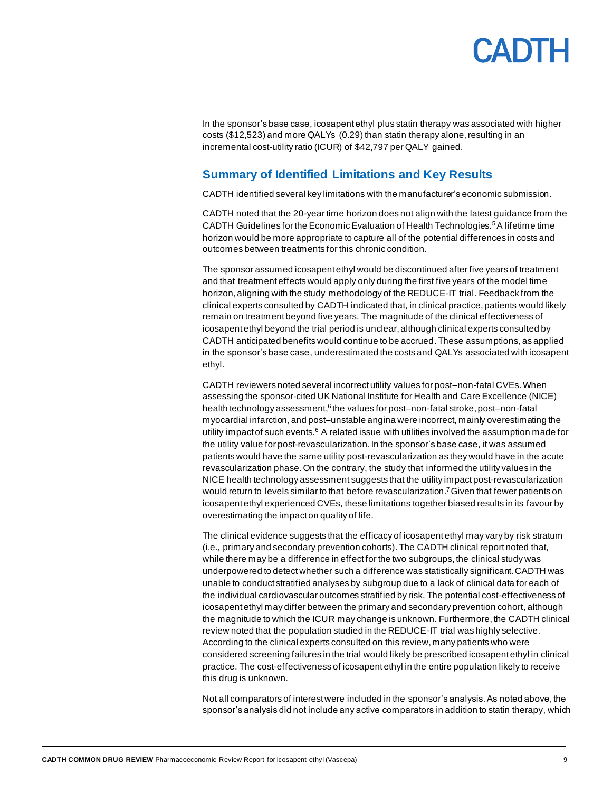In the sponsor's base case, icosapent ethyl plus statin therapy was associated with higher costs (\$12,523) and more QALYs (0.29) than statin therapy alone, resulting in an incremental cost-utility ratio (ICUR) of \$42,797 per QALY gained.

### <span id="page-8-0"></span>**Summary of Identified Limitations and Key Results**

CADTH identified several key limitations with the manufacturer's economic submission.

CADTH noted that the 20-year time horizon does not align with the latest guidance from the CADTH Guidelines for the Economic Evaluation of Health Technologies.<sup>5</sup>A lifetime time horizon would be more appropriate to capture all of the potential differences in costs and outcomes between treatments for this chronic condition.

The sponsor assumed icosapent ethyl would be discontinued after five years of treatment and that treatment effects would apply only during the first five years of the model time horizon, aligning with the study methodology of the REDUCE-IT trial. Feedback from the clinical experts consulted by CADTH indicated that, in clinical practice, patients would likely remain on treatment beyond five years. The magnitude of the clinical effectiveness of icosapent ethyl beyond the trial period is unclear, although clinical experts consulted by CADTH anticipated benefits would continue to be accrued.These assumptions,as applied in the sponsor's base case, underestimated the costs and QALYs associated with icosapent ethyl.

CADTH reviewers noted several incorrect utility values for post–non-fatal CVEs. When assessing the sponsor-cited UK National Institute for Health and Care Excellence (NICE) health technology assessment, <sup>6</sup> the values for post–non-fatal stroke, post–non-fatal myocardial infarction,and post–unstable angina were incorrect, mainly overestimating the utility impact of such events.<sup>6</sup> A related issue with utilities involved the assumption made for the utility value for post-revascularization. In the sponsor's base case, it was assumed patients would have the same utility post-revascularization as they would have in the acute revascularization phase. On the contrary, the study that informed the utility values in the NICE health technology assessment suggests that the utility impact post-revascularization would return to levels similar to that before revascularization.<sup>7</sup> Given that fewer patients on icosapent ethyl experienced CVEs, these limitations together biased results in its favour by overestimating the impact on quality of life.

The clinical evidence suggests that the efficacy of icosapent ethyl may vary by risk stratum (i.e., primary and secondary prevention cohorts).The CADTH clinical report noted that, while there may be a difference in effect for the two subgroups, the clinical study was underpowered to detect whether such a difference was statistically significant. CADTH was unable to conduct stratified analyses by subgroup due to a lack of clinical data for each of the individual cardiovascular outcomes stratified by risk. The potential cost-effectiveness of icosapent ethyl may differ between the primary and secondary prevention cohort, although the magnitude to which the ICUR may change is unknown. Furthermore, the CADTH clinical review noted that the population studied in the REDUCE-IT trial was highly selective. According to the clinical experts consulted on this review, many patients who were considered screening failures in the trial would likely be prescribed icosapent ethyl in clinical practice. The cost-effectiveness of icosapent ethyl in the entire population likely to receive this drug is unknown.

Not all comparators of interest were included in the sponsor's analysis. As noted above, the sponsor's analysis did not include any active comparators in addition to statin therapy, which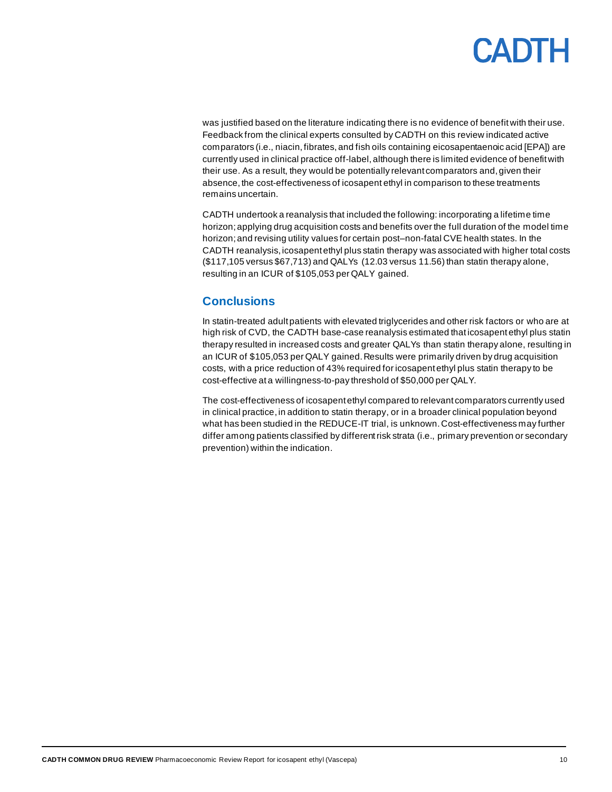was justified based on the literature indicating there is no evidence of benefit with their use. Feedback from the clinical experts consulted by CADTH on this review indicated active comparators (i.e., niacin, fibrates, and fish oils containing eicosapentaenoic acid [EPA]) are currently used in clinical practice off-label, although there is limited evidence of benefit with their use. As a result, they would be potentially relevant comparators and, given their absence, the cost-effectiveness of icosapent ethyl in comparison to these treatments remains uncertain.

CADTH undertook a reanalysis that included the following: incorporating a lifetime time horizon; applying drug acquisition costs and benefits over the full duration of the model time horizon; and revising utility values for certain post–non-fatal CVE health states. In the CADTH reanalysis, icosapent ethyl plus statin therapy was associated with higher total costs (\$117,105 versus \$67,713) and QALYs (12.03 versus 11.56) than statin therapy alone, resulting in an ICUR of \$105,053 per QALY gained.

#### <span id="page-9-0"></span>**Conclusions**

In statin-treated adult patients with elevated triglycerides and other risk factors or who are at high risk of CVD, the CADTH base-case reanalysis estimated that icosapent ethyl plus statin therapy resulted in increased costs and greater QALYs than statin therapy alone, resulting in an ICUR of \$105,053 per QALY gained. Results were primarily driven by drug acquisition costs, with a price reduction of 43% required for icosapent ethyl plus statin therapy to be cost-effective at a willingness-to-pay threshold of \$50,000 per QALY.

The cost-effectiveness of icosapent ethyl compared to relevant comparators currently used in clinical practice,in addition to statin therapy, or in a broader clinical population beyond what has been studied in the REDUCE-IT trial, is unknown.Cost-effectiveness may further differ among patients classified by differentrisk strata (i.e., primary prevention or secondary prevention) within the indication.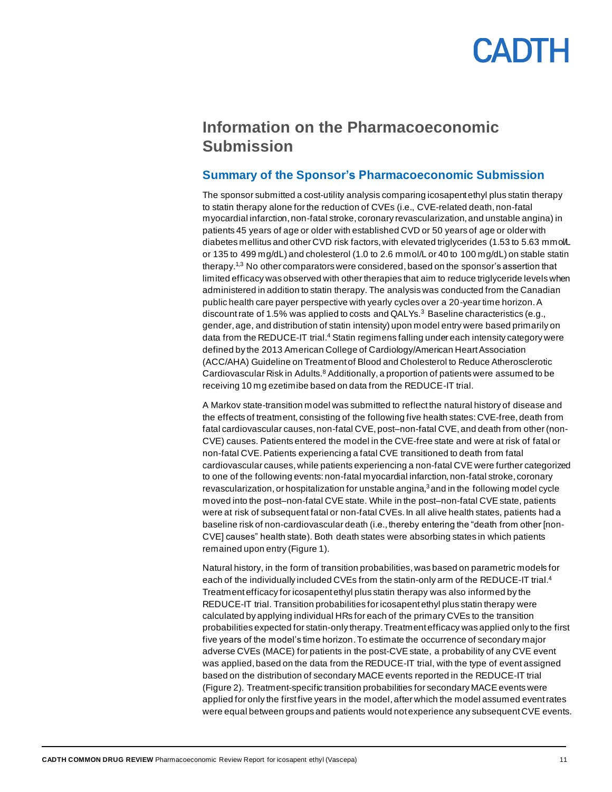## <span id="page-10-0"></span>**Information on the Pharmacoeconomic Submission**

#### <span id="page-10-1"></span>**Summary of the Sponsor's Pharmacoeconomic Submission**

The sponsor submitted a cost-utility analysis comparing icosapent ethyl plus statin therapy to statin therapy alone for the reduction of CVEs (i.e., CVE-related death, non-fatal myocardial infarction, non-fatal stroke, coronary revascularization, and unstable angina) in patients 45 years of age or older with established CVD or 50 years of age or older with diabetes mellitus and other CVD risk factors, with elevated triglycerides (1.53 to 5.63 mmol/L or 135 to 499 mg/dL) and cholesterol (1.0 to 2.6 mmol/L or 40 to 100 mg/dL) on stable statin therapy.<sup>1,3</sup> No other comparators were considered, based on the sponsor's assertion that limited efficacy was observed with other therapies that aim to reduce triglyceride levels when administered in addition to statin therapy. The analysis was conducted from the Canadian public health care payer perspective with yearly cycles over a 20-year time horizon. A discount rate of 1.5% was applied to costs and QALYs. $3$  Baseline characteristics (e.g., gender, age, and distribution of statin intensity) upon model entry were based primarily on data from the REDUCE-IT trial.<sup>4</sup> Statin regimens falling under each intensity category were defined by the 2013 American College of Cardiology/American Heart Association (ACC/AHA) Guideline on Treatment of Blood and Cholesterol to Reduce Atherosclerotic Cardiovascular Risk in Adults.<sup>8</sup> Additionally, a proportion of patients were assumed to be receiving 10 mg ezetimibe based on data from the REDUCE-IT trial.

A Markov state-transition model was submitted to reflect the natural history of disease and the effects of treatment, consisting of the following five health states: CVE-free, death from fatal cardiovascular causes, non-fatal CVE, post–non-fatal CVE, and death from other (non-CVE) causes. Patients entered the model in the CVE-free state and were at risk of fatal or non-fatal CVE.Patients experiencing a fatal CVE transitioned to death from fatal cardiovascular causes,while patients experiencing a non-fatal CVE were further categorized to one of the following events: non-fatal myocardial infarction, non-fatal stroke, coronary revascularization, or hospitalization for unstable angina, <sup>3</sup> and in the following model cycle moved into the post–non-fatal CVE state. While in the post–non-fatal CVE state, patients were at risk of subsequent fatal or non-fatal CVEs. In all alive health states, patients had a baseline risk of non-cardiovascular death (i.e., thereby entering the "death from other [non-CVE] causes" health state). Both death states were absorbing states in which patients remained upon entry [\(Figure 1\)](#page-22-1).

Natural history, in the form of transition probabilities, was based on parametric models for each of the individually included CVEs from the statin-only arm of the REDUCE-IT trial.<sup>4</sup> Treatment efficacy for icosapent ethyl plus statin therapy was also informed by the REDUCE-IT trial. Transition probabilities for icosapent ethyl plus statin therapy were calculated by applying individual HRs for each of the primary CVEs to the transition probabilities expected for statin-only therapy. Treatment efficacy was applied only to the first five years of the model's time horizon. To estimate the occurrence of secondary major adverse CVEs (MACE) for patients in the post-CVE state, a probability of any CVE event was applied, based on the data from the REDUCE-IT trial, with the type of event assigned based on the distribution of secondary MACE events reported in the REDUCE-IT trial [\(Figure 2\)](#page-25-1). Treatment-specific transition probabilities for secondary MACE events were applied for only the first five years in the model, after which the model assumed event rates were equal between groups and patients would notexperience any subsequent CVE events.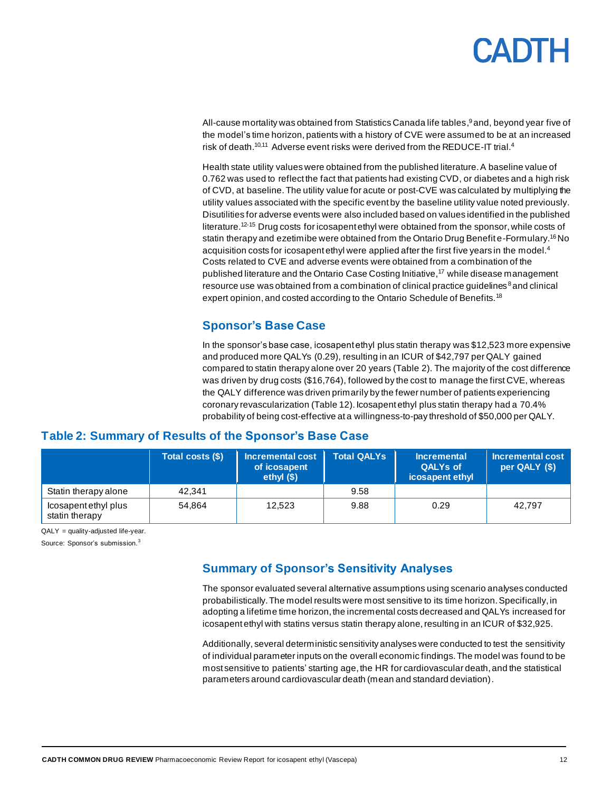# PADTH

All-cause mortality was obtained from Statistics Canada life tables, <sup>9</sup> and, beyond year five of the model's time horizon, patients with a history of CVE were assumed to be at an increased risk of death.<sup>10,11</sup> Adverse event risks were derived from the REDUCE-IT trial.<sup>4</sup>

Health state utility values were obtained from the published literature. A baseline value of 0.762 was used to reflect the fact that patients had existing CVD, or diabetes and a high risk of CVD, at baseline. The utility value for acute or post-CVE was calculated by multiplying the utility values associated with the specific event by the baseline utility value noted previously. Disutilities for adverse events were also included based on values identified in the published literature.<sup>12-15</sup> Drug costs for icosapent ethyl were obtained from the sponsor, while costs of statin therapy and ezetimibe were obtained from the Ontario Drug Benefit e-Formulary.<sup>16</sup>No acquisition costs for icosapent ethyl were applied after the first five years in the model. $4$ Costs related to CVE and adverse events were obtained from a combination of the published literature and the Ontario Case Costing Initiative,<sup>17</sup> while disease management resource use was obtained from a combination of clinical practice quidelines<sup>8</sup> and clinical expert opinion, and costed according to the Ontario Schedule of Benefits.<sup>18</sup>

### **Sponsor's Base Case**

In the sponsor's base case, icosapent ethyl plus statin therapy was \$12,523 more expensive and produced more QALYs (0.29), resulting in an ICUR of \$42,797 per QALY gained compared to statin therapy alone over 20 years [\(Table 2\)](#page-11-2). The majority of the cost difference was driven by drug costs (\$16,764), followed by the cost to manage the first CVE, whereas the QALY difference was driven primarily by the fewer number of patients experiencing coronary revascularization [\(Table 12\)](#page-26-0). Icosapent ethyl plus statin therapy had a 70.4% probability of being cost-effective at a willingness-to-pay threshold of \$50,000 per QALY.

#### **Total costs (\$) Incremental cost of icosapent ethyl (\$) Total QALYs Incremental QALYs of icosapent ethyl Incremental cost per QALY (\$)** Statin therapy alone  $\vert$  42,341  $\vert$  9.58 Icosapent ethyl plus 54,864 12,523 9.88 0.29 42,797

### <span id="page-11-2"></span><span id="page-11-0"></span>**Table 2: Summary of Results of the Sponsor's Base Case**

QALY = quality-adjusted life-year.

statin therapy

<span id="page-11-1"></span>Source: Sponsor's submission.<sup>3</sup>

### **Summary of Sponsor's Sensitivity Analyses**

The sponsor evaluated several alternative assumptions using scenario analyses conducted probabilistically. The model results were most sensitive to its time horizon. Specifically, in adopting a lifetime time horizon, the incremental costs decreased and QALYs increased for icosapent ethyl with statins versus statin therapy alone, resulting in an ICUR of \$32,925.

Additionally, several deterministic sensitivity analyses were conducted to test the sensitivity of individual parameter inputs on the overall economic findings. The model was found to be most sensitive to patients' starting age, the HR for cardiovascular death, and the statistical parameters around cardiovascular death (mean and standard deviation).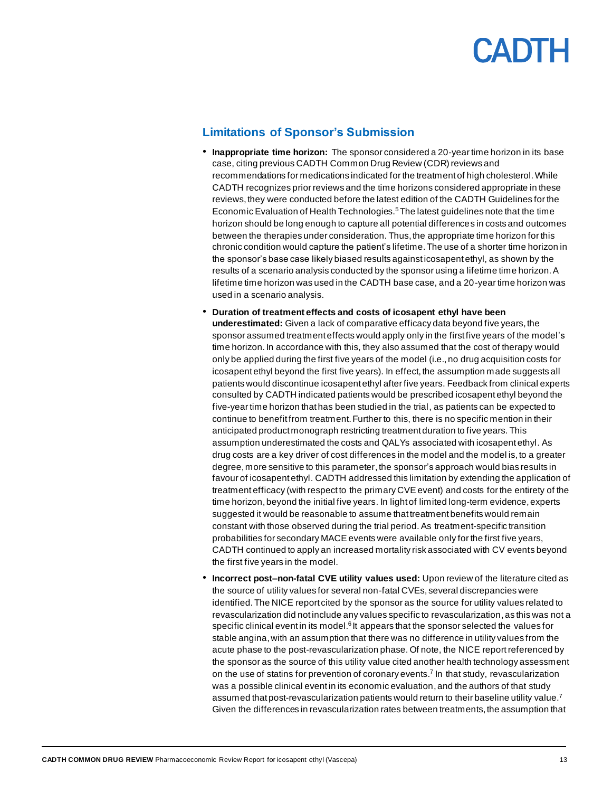

#### <span id="page-12-0"></span>**Limitations of Sponsor's Submission**

- **Inappropriate time horizon:** The sponsor considered a 20-year time horizon in its base case, citing previous CADTH Common Drug Review (CDR) reviews and recommendations for medications indicated for the treatment of high cholesterol. While CADTH recognizes prior reviews and the time horizons considered appropriate in these reviews, they were conducted before the latest edition of the CADTH Guidelines for the Economic Evaluation of Health Technologies.<sup>5</sup>The latest guidelines note that the time horizon should be long enough to capture all potential differences in costs and outcomes between the therapies under consideration. Thus, the appropriate time horizon for this chronic condition would capture the patient's lifetime. The use of a shorter time horizon in the sponsor's base case likely biased results against icosapent ethyl, as shown by the results of a scenario analysis conducted by the sponsor using a lifetime time horizon. A lifetime time horizon was used in the CADTH base case, and a 20-year time horizon was used in a scenario analysis.
- **Duration of treatment effects and costs of icosapent ethyl have been underestimated:** Given a lack of comparative efficacy data beyond five years, the sponsor assumed treatment effects would apply only in the first five years of the model's time horizon. In accordance with this, they also assumed that the cost of therapy would only be applied during the first five years of the model (i.e., no drug acquisition costs for icosapent ethyl beyond the first five years). In effect, the assumption made suggests all patients would discontinue icosapent ethyl after five years. Feedback from clinical experts consulted by CADTH indicated patients would be prescribed icosapent ethyl beyond the five-year time horizon that has been studied in the trial, as patients can be expected to continue to benefit from treatment. Further to this, there is no specific mention in their anticipated product monograph restricting treatment duration to five years. This assumption underestimated the costs and QALYs associated with icosapent ethyl. As drug costs are a key driver of cost differences in the model and the model is, to a greater degree, more sensitive to this parameter, the sponsor's approach would bias results in favour of icosapent ethyl. CADTH addressed this limitation by extending the application of treatment efficacy (with respect to the primary CVE event) and costs for the entirety of the time horizon, beyond the initial five years. In light of limited long-term evidence, experts suggested it would be reasonable to assume that treatment benefits would remain constant with those observed during the trial period. As treatment-specific transition probabilities for secondary MACE events were available only for the first five years, CADTH continued to apply an increased mortality risk associated with CV events beyond the first five years in the model.
- **Incorrect post–non-fatal CVE utility values used:** Upon review of the literature cited as the source of utility values for several non-fatal CVEs, several discrepancies were identified. The NICE report cited by the sponsor as the source for utility values related to revascularization did not include any values specific to revascularization, as this was not a specific clinical event in its model.<sup>6</sup> It appears that the sponsor selected the values for stable angina, with an assumption that there was no difference in utility values from the acute phase to the post-revascularization phase. Of note, the NICE report referenced by the sponsor as the source of this utility value cited another health technology assessment on the use of statins for prevention of coronary events. 7 In that study, revascularization was a possible clinical event in its economic evaluation, and the authors of that study assumed that post-revascularization patients would return to their baseline utility value.<sup>7</sup> Given the differences in revascularization rates between treatments, the assumption that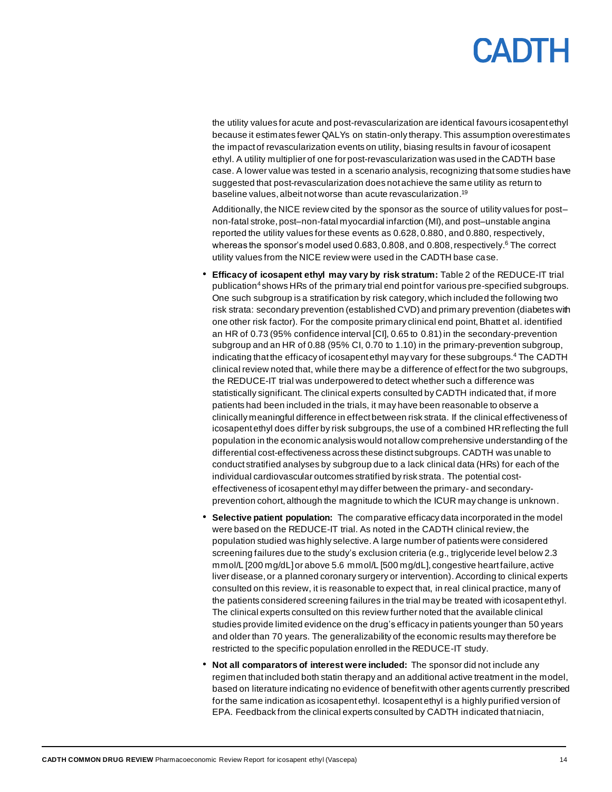the utility values for acute and post-revascularization are identical favours icosapent ethyl because it estimates fewer QALYs on statin-only therapy. This assumption overestimates the impact of revascularization events on utility, biasing results in favour of icosapent ethyl. A utility multiplier of one for post-revascularization was used in the CADTH base case. A lower value was tested in a scenario analysis, recognizing that some studies have suggested that post-revascularization does not achieve the same utility as return to baseline values, albeit not worse than acute revascularization. 19

Additionally, the NICE review cited by the sponsor as the source of utility values for post– non-fatal stroke, post–non-fatal myocardial infarction (MI), and post–unstable angina reported the utility values for these events as 0.628, 0.880, and 0.880, respectively, whereas the sponsor's model used  $0.683, 0.808$ , and  $0.808$ , respectively.<sup>6</sup> The correct utility values from the NICE review were used in the CADTH base case.

- **Efficacy of icosapent ethyl may vary by risk stratum:** Table 2 of the REDUCE-IT trial publication<sup>4</sup> shows HRs of the primary trial end point for various pre-specified subgroups. One such subgroup is a stratification by risk category, which included the following two risk strata: secondary prevention (established CVD) and primary prevention (diabetes with one other risk factor). For the composite primary clinical end point, Bhatt et al. identified an HR of 0.73 (95% confidence interval [CI], 0.65 to 0.81) in the secondary-prevention subgroup and an HR of 0.88 (95% CI, 0.70 to 1.10) in the primary-prevention subgroup, indicating that the efficacy of icosapent ethyl may vary for these subgroups.<sup>4</sup> The CADTH clinical review noted that, while there may be a difference of effect for the two subgroups, the REDUCE-IT trial was underpowered to detect whether such a difference was statistically significant. The clinical experts consulted by CADTH indicated that, if more patients had been included in the trials, it may have been reasonable to observe a clinically meaningful difference in effect between risk strata. If the clinical effectiveness of icosapent ethyl does differ by risk subgroups, the use of a combined HRreflecting the full population in the economic analysis would not allow comprehensive understanding of the differential cost-effectiveness across these distinct subgroups. CADTH was unable to conduct stratified analyses by subgroup due to a lack clinical data (HRs) for each of the individual cardiovascular outcomes stratified by risk strata. The potential costeffectiveness of icosapent ethyl may differ between the primary- and secondaryprevention cohort, although the magnitude to which the ICUR may change is unknown.
- **Selective patient population:** The comparative efficacy data incorporated in the model were based on the REDUCE-IT trial. As noted in the CADTH clinical review, the population studied was highly selective. A large number of patients were considered screening failures due to the study's exclusion criteria (e.g., triglyceride level below 2.3 mmol/L [200 mg/dL]or above 5.6 mmol/L [500 mg/dL], congestive heart failure, active liver disease, or a planned coronary surgery or intervention). According to clinical experts consulted on this review, it is reasonable to expect that, in real clinical practice, many of the patients considered screening failures in the trial may be treated with icosapent ethyl. The clinical experts consulted on this review further noted that the available clinical studies provide limited evidence on the drug's efficacy in patients younger than 50 years and older than 70 years. The generalizability of the economic results may therefore be restricted to the specific population enrolled in the REDUCE-IT study.
- **Not all comparators of interest were included:** The sponsor did not include any regimen that included both statin therapy and an additional active treatment in the model, based on literature indicating no evidence of benefit with other agents currently prescribed for the same indication as icosapent ethyl. Icosapent ethyl is a highly purified version of EPA. Feedback from the clinical experts consulted by CADTH indicated that niacin,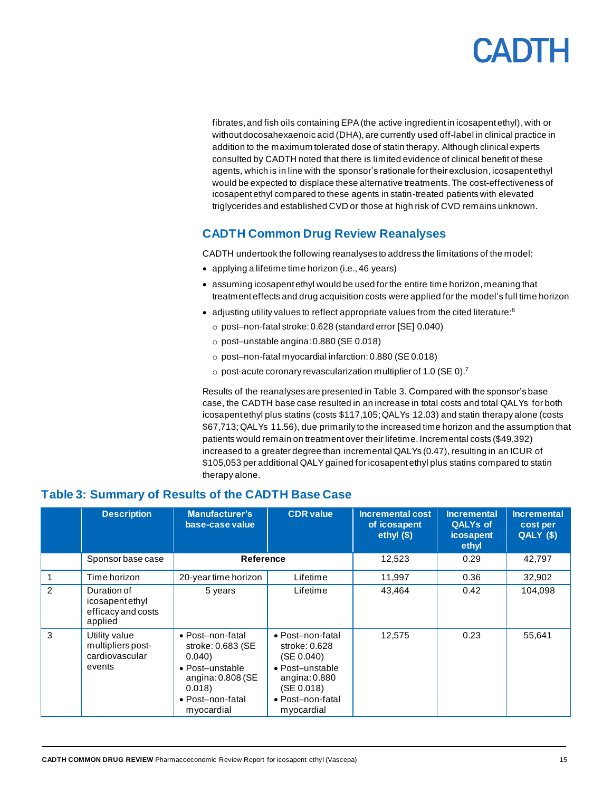fibrates, and fish oils containing EPA (the active ingredient in icosapent ethyl), with or without docosahexaenoic acid (DHA), are currently used off-label in clinical practice in addition to the maximum tolerated dose of statin therapy. Although clinical experts consulted by CADTH noted that there is limited evidence of clinical benefit of these agents, which is in line with the sponsor's rationale for their exclusion, icosapent ethyl would be expected to displace these alternative treatments.The cost-effectiveness of icosapent ethyl compared to these agents in statin-treated patients with elevated triglycerides and established CVD or those at high risk of CVD remains unknown.

### <span id="page-14-0"></span>**CADTH Common Drug Review Reanalyses**

CADTH undertook the following reanalyses to address the limitations of the model:

- applying a lifetime time horizon (i.e., 46 years)
- assuming icosapent ethyl would be used for the entire time horizon, meaning that treatment effects and drug acquisition costs were applied for the model's full time horizon
- adjusting utility values to reflect appropriate values from the cited literature:<sup>6</sup>
- o post–non-fatal stroke: 0.628 (standard error [SE] 0.040)
- o post–unstable angina: 0.880 (SE 0.018)
- o post–non-fatal myocardial infarction: 0.880 (SE 0.018)
- $\circ$  post-acute coronary revascularization multiplier of 1.0 (SE 0).<sup>7</sup>

Results of the reanalyses are presented i[n Table 3.](#page-14-1) Compared with the sponsor's base case, the CADTH base case resulted in an increase in total costs and total QALYs for both icosapent ethyl plus statins (costs \$117,105; QALYs 12.03) and statin therapy alone (costs \$67,713; QALYs 11.56), due primarily to the increased time horizon and the assumption that patients would remain on treatment over their lifetime. Incremental costs (\$49,392) increased to a greater degree than incremental QALYs (0.47), resulting in an ICUR of \$105,053 per additional QALY gained for icosapent ethyl plus statins compared to statin therapy alone.

### <span id="page-14-1"></span>**Table 3: Summary of Results of the CADTH Base Case**

|               | <b>Description</b>                                             | <b>Manufacturer's</b><br>base-case value                                                                                             | <b>CDR</b> value                                                                                                                      | <b>Incremental cost</b><br>of icosapent<br>ethyl $($ \$) | <b>Incremental</b><br><b>QALYs of</b><br><b>icosapent</b><br>ethyl | <b>Incremental</b><br>cost per<br><b>QALY (\$)</b> |
|---------------|----------------------------------------------------------------|--------------------------------------------------------------------------------------------------------------------------------------|---------------------------------------------------------------------------------------------------------------------------------------|----------------------------------------------------------|--------------------------------------------------------------------|----------------------------------------------------|
|               | Sponsor base case                                              | <b>Reference</b>                                                                                                                     |                                                                                                                                       | 12,523                                                   | 0.29                                                               | 42,797                                             |
|               | Time horizon                                                   | 20-year time horizon                                                                                                                 | Lifetime                                                                                                                              | 11,997                                                   | 0.36                                                               | 32,902                                             |
| $\mathcal{P}$ | Duration of<br>icosapentethyl<br>efficacy and costs<br>applied | 5 years                                                                                                                              | Lifetime                                                                                                                              | 43.464                                                   | 0.42                                                               | 104,098                                            |
| 3             | Utility value<br>multipliers post-<br>cardiovascular<br>events | • Post-non-fatal<br>stroke: 0.683 (SE<br>0.040<br>• Post-unstable<br>angina: $0.808$ (SE<br>0.018)<br>• Post-non-fatal<br>myocardial | • Post-non-fatal<br>stroke: 0.628<br>(SE 0.040)<br>• Post-unstable<br>angina: $0.880$<br>(SE 0.018)<br>• Post-non-fatal<br>myocardial | 12,575                                                   | 0.23                                                               | 55,641                                             |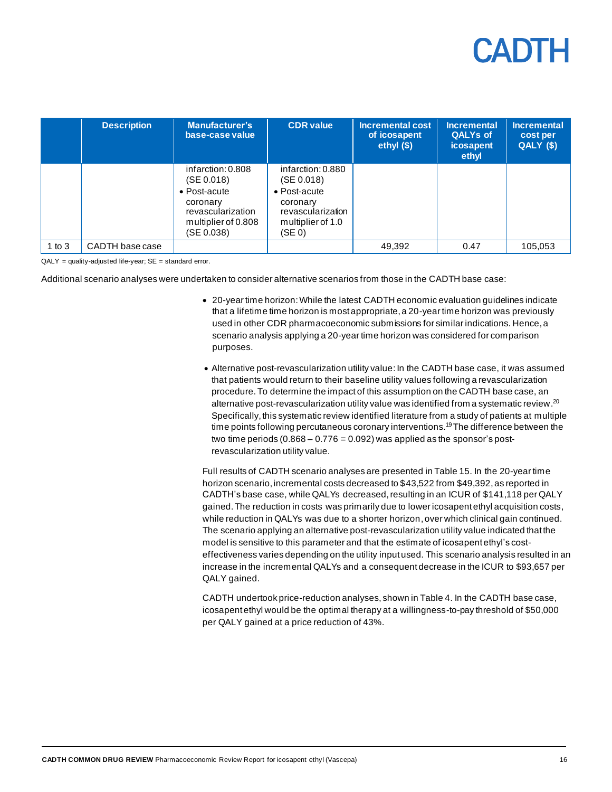|          | <b>Description</b> | <b>Manufacturer's</b><br>base-case value                                                                              | <b>CDR</b> value                                                                                                | <b>Incremental cost</b><br>of icosapent<br>ethyl $($)$ | <b>Incremental</b><br><b>QALYs of</b><br><b>icosapent</b><br>ethyl | <b>Incremental</b><br>cost per<br>QALY (\$) |
|----------|--------------------|-----------------------------------------------------------------------------------------------------------------------|-----------------------------------------------------------------------------------------------------------------|--------------------------------------------------------|--------------------------------------------------------------------|---------------------------------------------|
|          |                    | infarction: 0.808<br>(SE 0.018)<br>• Post-acute<br>coronary<br>revascularization<br>multiplier of 0.808<br>(SE 0.038) | infarction: 0.880<br>(SE 0.018)<br>• Post-acute<br>coronary<br>revascularization<br>multiplier of 1.0<br>(SE 0) |                                                        |                                                                    |                                             |
| 1 to $3$ | CADTH base case    |                                                                                                                       |                                                                                                                 | 49,392                                                 | 0.47                                                               | 105,053                                     |

 $QALY = quality-adjusted$  life-year;  $SE = standard$  error.

Additional scenario analyses were undertaken to consider alternative scenarios from those in the CADTH base case:

- 20-year time horizon:While the latest CADTH economic evaluation guidelines indicate that a lifetime time horizon is most appropriate, a 20-year time horizon was previously used in other CDR pharmacoeconomic submissions for similar indications. Hence, a scenario analysis applying a 20-year time horizon was considered for comparison purposes.
- Alternative post-revascularization utility value:In the CADTH base case, it was assumed that patients would return to their baseline utility values following a revascularization procedure. To determine the impact of this assumption on the CADTH base case, an alternative post-revascularization utility value was identified from a systematic review. 20 Specifically, this systematic review identified literature from a study of patients at multiple time points following percutaneous coronary interventions.<sup>19</sup>The difference between the two time periods  $(0.868 - 0.776 = 0.092)$  was applied as the sponsor's postrevascularization utility value.

Full results of CADTH scenario analyses are presented i[n Table 15.](#page-27-1) In the 20-year time horizon scenario, incremental costs decreased to \$43,522 from \$49,392, as reported in CADTH's base case, while QALYs decreased, resulting in an ICUR of \$141,118 per QALY gained. The reduction in costs was primarily due to lower icosapent ethyl acquisition costs, while reduction in QALYs was due to a shorter horizon, over which clinical gain continued. The scenario applying an alternative post-revascularization utility value indicated that the model is sensitive to this parameter and that the estimate of icosapent ethyl's costeffectiveness varies depending on the utility input used. This scenario analysis resulted in an increase in the incremental QALYs and a consequent decrease in the ICUR to \$93,657 per QALY gained.

CADTH undertook price-reduction analyses, shown i[n Table 4.](#page-16-3) In the CADTH base case, icosapent ethyl would be the optimal therapy at a willingness-to-pay threshold of \$50,000 per QALY gained at a price reduction of 43%.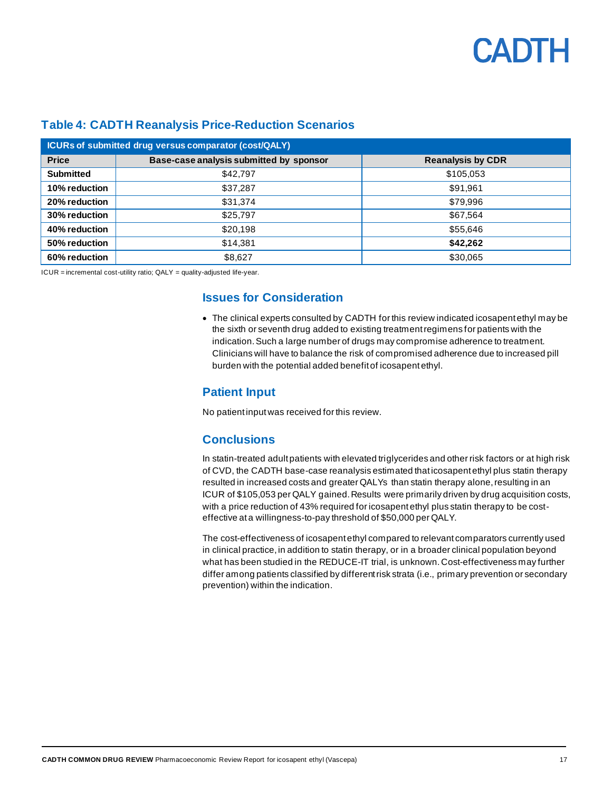

| <b>ICURs of submitted drug versus comparator (cost/QALY)</b> |                                                                     |           |  |  |  |  |  |
|--------------------------------------------------------------|---------------------------------------------------------------------|-----------|--|--|--|--|--|
| <b>Price</b>                                                 | Base-case analysis submitted by sponsor<br><b>Reanalysis by CDR</b> |           |  |  |  |  |  |
| <b>Submitted</b>                                             | \$42,797                                                            | \$105,053 |  |  |  |  |  |
| 10% reduction                                                | \$37,287                                                            | \$91,961  |  |  |  |  |  |
| 20% reduction                                                | \$31,374                                                            | \$79,996  |  |  |  |  |  |
| 30% reduction                                                | \$25,797                                                            | \$67,564  |  |  |  |  |  |
| 40% reduction                                                | \$20,198                                                            | \$55,646  |  |  |  |  |  |
| 50% reduction                                                | \$14,381                                                            | \$42,262  |  |  |  |  |  |
| 60% reduction                                                | \$8,627                                                             | \$30,065  |  |  |  |  |  |

#### <span id="page-16-3"></span>**Table 4: CADTH Reanalysis Price-Reduction Scenarios**

<span id="page-16-2"></span><span id="page-16-1"></span><span id="page-16-0"></span>ICUR = incremental cost-utility ratio; QALY = quality-adjusted life-year.

#### **Issues for Consideration**

• The clinical experts consulted by CADTH for this review indicated icosapent ethyl may be the sixth or seventh drug added to existing treatment regimens for patients with the indication. Such a large number of drugs may compromise adherence to treatment. Clinicians will have to balance the risk of compromised adherence due to increased pill burden with the potential added benefit of icosapent ethyl.

#### **Patient Input**

No patient input was received for this review.

### **Conclusions**

In statin-treated adult patients with elevated triglycerides and other risk factors or at high risk of CVD, the CADTH base-case reanalysis estimated that icosapent ethyl plus statin therapy resulted in increased costs and greater QALYs than statin therapy alone, resulting in an ICUR of \$105,053 per QALY gained. Results were primarily driven by drug acquisition costs, with a price reduction of 43% required for icosapent ethyl plus statin therapy to be costeffective at a willingness-to-pay threshold of \$50,000 per QALY.

The cost-effectiveness of icosapent ethyl compared to relevant comparators currently used in clinical practice, in addition to statin therapy, or in a broader clinical population beyond what has been studied in the REDUCE-IT trial, is unknown. Cost-effectiveness may further differ among patients classified by different risk strata (i.e., primary prevention or secondary prevention) within the indication.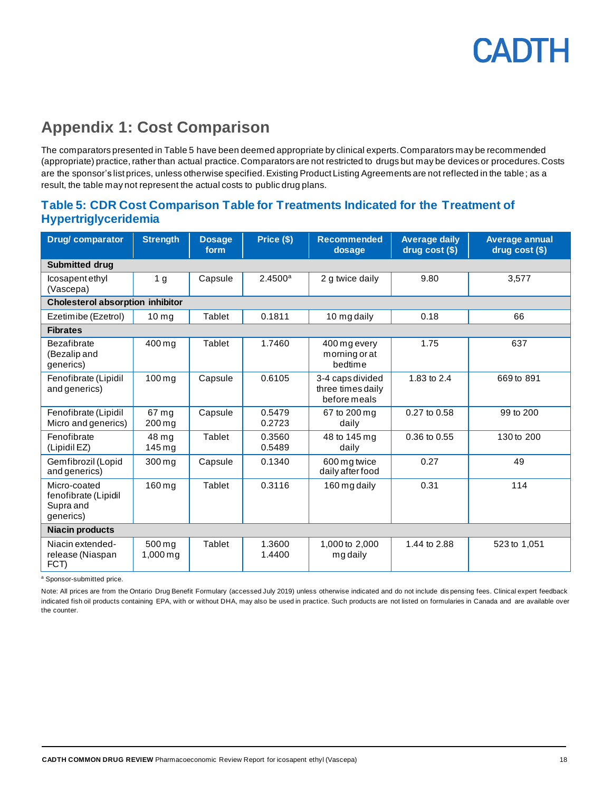## <span id="page-17-0"></span>**Appendix 1: Cost Comparison**

The comparators presented in Table 5 have been deemed appropriate by clinical experts. Comparators may be recommended (appropriate) practice, rather than actual practice. Comparators are not restricted to drugs but may be devices or procedures. Costs are the sponsor's list prices, unless otherwise specified. Existing Product Listing Agreements are not reflected in the table; as a result, the table may not represent the actual costs to public drug plans.

### <span id="page-17-1"></span>**Table 5: CDR Cost Comparison Table for Treatments Indicated for the Treatment of Hypertriglyceridemia**

| <b>Drug/comparator</b>                                         | <b>Strength</b>                 | <b>Dosage</b><br>form | Price (\$)       | <b>Recommended</b><br>dosage                          | <b>Average daily</b><br>drug cost (\$) | <b>Average annual</b><br>drug cost (\$) |  |
|----------------------------------------------------------------|---------------------------------|-----------------------|------------------|-------------------------------------------------------|----------------------------------------|-----------------------------------------|--|
| <b>Submitted drug</b>                                          |                                 |                       |                  |                                                       |                                        |                                         |  |
| Icosapent ethyl<br>(Vascepa)                                   | 1 <sub>g</sub>                  | Capsule               | 2.4500a          | 2 g twice daily                                       | 9.80                                   | 3.577                                   |  |
| <b>Cholesterol absorption inhibitor</b>                        |                                 |                       |                  |                                                       |                                        |                                         |  |
| Ezetimibe (Ezetrol)                                            | 10 <sub>mg</sub>                | <b>Tablet</b>         | 0.1811           | 10 mg daily                                           | 0.18                                   | 66                                      |  |
| <b>Fibrates</b>                                                |                                 |                       |                  |                                                       |                                        |                                         |  |
| <b>Bezafibrate</b><br>(Bezalip and<br>generics)                | 400 mg                          | Tablet                | 1.7460           | 400 mg every<br>morning or at<br>bedtime              | 1.75                                   | 637                                     |  |
| Fenofibrate (Lipidil<br>and generics)                          | $100 \,\mathrm{mg}$             | Capsule               | 0.6105           | 3-4 caps divided<br>three times daily<br>before meals | 1.83 to 2.4                            | 669 to 891                              |  |
| Fenofibrate (Lipidil<br>Micro and generics)                    | 67 mg<br>$200 \,\mathrm{mg}$    | Capsule               | 0.5479<br>0.2723 | 67 to 200 mg<br>daily                                 | 0.27 to 0.58                           | 99 to 200                               |  |
| Fenofibrate<br>(Lipidil EZ)                                    | 48 ma<br>$145 \,\mathrm{mg}$    | <b>Tablet</b>         | 0.3560<br>0.5489 | 48 to 145 mg<br>daily                                 | 0.36 to 0.55                           | 130 to 200                              |  |
| Gemfibrozil (Lopid<br>and generics)                            | 300 mg                          | Capsule               | 0.1340           | 600 mg twice<br>daily after food                      | 0.27                                   | 49                                      |  |
| Micro-coated<br>fenofibrate (Lipidil<br>Supra and<br>generics) | 160 mg                          | <b>Tablet</b>         | 0.3116           | 160 mg daily                                          | 0.31                                   | 114                                     |  |
| <b>Niacin products</b>                                         |                                 |                       |                  |                                                       |                                        |                                         |  |
| Niacin extended-<br>release (Niaspan<br>FCT)                   | 500 mg<br>$1,000 \,\mathrm{mq}$ | <b>Tablet</b>         | 1.3600<br>1.4400 | 1,000 to 2,000<br>mg daily                            | 1.44 to 2.88                           | 523 to 1,051                            |  |

<sup>a</sup> Sponsor-submitted price.

Note: All prices are from the Ontario Drug Benefit Formulary (accessed July 2019) unless otherwise indicated and do not include dis pensing fees. Clinical expert feedback indicated fish oil products containing EPA, with or without DHA, may also be used in practice. Such products are not listed on formularies in Canada and are available over the counter.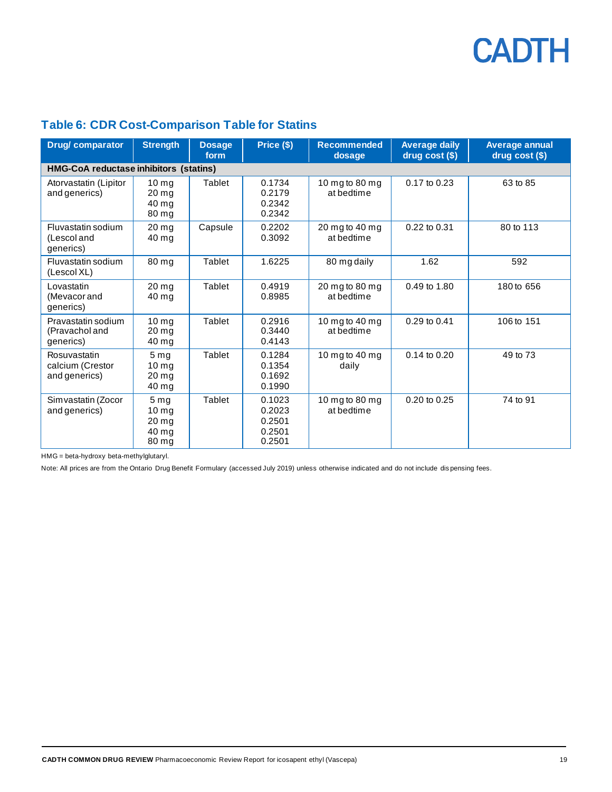### <span id="page-18-0"></span>**Table 6: CDR Cost-Comparison Table for Statins**

| <b>Drug/comparator</b>                            | <b>Strength</b>                                                             | <b>Dosage</b><br>form | Price (\$)                                     | <b>Recommended</b><br>dosage | <b>Average daily</b><br>$drug cost (§)$ | <b>Average annual</b><br>$drug cost (§)$ |
|---------------------------------------------------|-----------------------------------------------------------------------------|-----------------------|------------------------------------------------|------------------------------|-----------------------------------------|------------------------------------------|
| <b>HMG-CoA reductase inhibitors (statins)</b>     |                                                                             |                       |                                                |                              |                                         |                                          |
| Atorvastatin (Lipitor<br>and generics)            | 10 <sub>ma</sub><br>$20 \,\mathrm{mg}$<br>40 mg<br>80 mg                    | Tablet                | 0.1734<br>0.2179<br>0.2342<br>0.2342           | 10 mg to 80 mg<br>at bedtime | 0.17 to 0.23                            | 63 to 85                                 |
| Fluvastatin sodium<br>(Lescol and<br>qenerics)    | 20 <sub>mg</sub><br>40 mg                                                   | Capsule               | 0.2202<br>0.3092                               | 20 mg to 40 mg<br>at bedtime | 0.22 to 0.31                            | 80 to 113                                |
| Fluvastatin sodium<br>(Lescol XL)                 | 80 mg                                                                       | Tablet                | 1.6225                                         | 80 mg daily                  | 1.62                                    | 592                                      |
| Lovastatin<br>(Mevacor and<br>qenerics)           | 20 <sub>ma</sub><br>40 mg                                                   | <b>Tablet</b>         | 0.4919<br>0.8985                               | 20 mg to 80 mg<br>at bedtime | 0.49 to 1.80                            | 180 to 656                               |
| Pravastatin sodium<br>(Pravachol and<br>generics) | 10 <sub>mg</sub><br>20 <sub>ma</sub><br>40 mg                               | <b>Tablet</b>         | 0.2916<br>0.3440<br>0.4143                     | 10 mg to 40 mg<br>at bedtime | 0.29 to 0.41                            | 106 to 151                               |
| Rosuvastatin<br>calcium (Crestor<br>and generics) | 5 <sub>mg</sub><br>10 <sub>mg</sub><br>20 <sub>mg</sub><br>40 mg            | Tablet                | 0.1284<br>0.1354<br>0.1692<br>0.1990           | 10 mg to 40 mg<br>daily      | 0.14 to 0.20                            | 49 to 73                                 |
| Simvastatin (Zocor<br>and generics)               | 5 <sub>mg</sub><br>10 <sub>mg</sub><br>$20 \,\mathrm{mg}$<br>40 mg<br>80 mg | Tablet                | 0.1023<br>0.2023<br>0.2501<br>0.2501<br>0.2501 | 10 mg to 80 mg<br>at bedtime | $0.20$ to $0.25$                        | 74 to 91                                 |

HMG = beta-hydroxy beta-methylglutaryl.

Note: All prices are from the Ontario Drug Benefit Formulary (accessed July 2019) unless otherwise indicated and do not include dis pensing fees.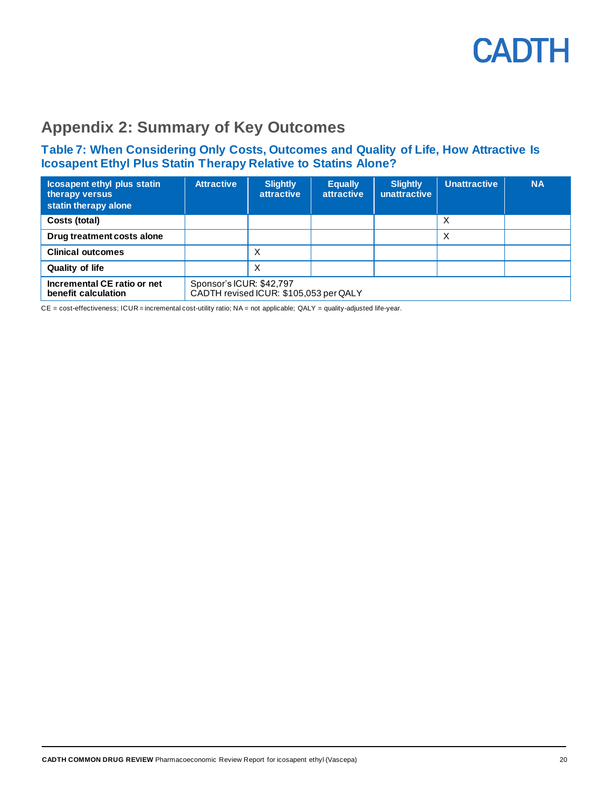

## <span id="page-19-0"></span>**Appendix 2: Summary of Key Outcomes**

#### <span id="page-19-1"></span>**Table 7: When Considering Only Costs, Outcomes and Quality of Life, How Attractive Is Icosapent Ethyl Plus Statin Therapy Relative to Statins Alone?**

| <b>Icosapent ethyl plus statin</b><br>therapy versus<br>statin therapy alone | <b>Attractive</b>                                                  | <b>Slightly</b><br><b>attractive</b> | <b>Equally</b><br><b>attractive</b> | <b>Slightly</b><br>unattractive | <b>Unattractive</b> | <b>NA</b> |
|------------------------------------------------------------------------------|--------------------------------------------------------------------|--------------------------------------|-------------------------------------|---------------------------------|---------------------|-----------|
| Costs (total)                                                                |                                                                    |                                      |                                     |                                 | X                   |           |
| Drug treatment costs alone                                                   |                                                                    |                                      |                                     |                                 | X                   |           |
| <b>Clinical outcomes</b>                                                     |                                                                    | X                                    |                                     |                                 |                     |           |
| <b>Quality of life</b>                                                       |                                                                    | Х                                    |                                     |                                 |                     |           |
| Incremental CE ratio or net<br>benefit calculation                           | Sponsor's ICUR: \$42,797<br>CADTH revised ICUR: \$105,053 per QALY |                                      |                                     |                                 |                     |           |

CE = cost-effectiveness; ICUR = incremental cost-utility ratio; NA = not applicable; QALY = quality-adjusted life-year.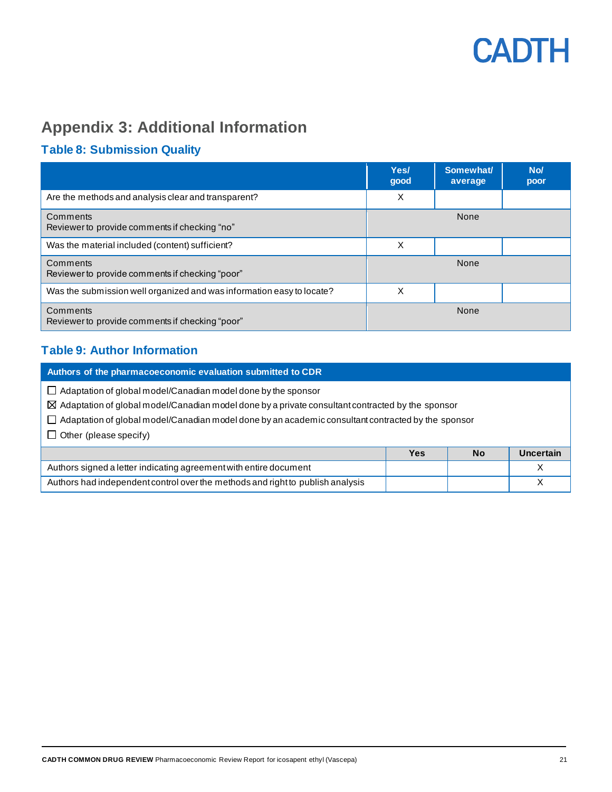

## <span id="page-20-0"></span>**Appendix 3: Additional Information**

### <span id="page-20-1"></span>**Table 8: Submission Quality**

|                                                                       | Yes/<br>good | Somewhat/<br>average | No/<br>poor |
|-----------------------------------------------------------------------|--------------|----------------------|-------------|
| Are the methods and analysis clear and transparent?                   | X            |                      |             |
| Comments<br>Reviewer to provide comments if checking "no"             |              | None                 |             |
| Was the material included (content) sufficient?                       | X            |                      |             |
| Comments<br>Reviewer to provide comments if checking "poor"           |              | None                 |             |
| Was the submission well organized and was information easy to locate? | X            |                      |             |
| Comments<br>Reviewer to provide comments if checking "poor"           |              | None                 |             |

### <span id="page-20-2"></span>**Table 9: Author Information**

**Authors of the pharmacoeconomic evaluation submitted to CDR**  $\Box$  Adaptation of global model/Canadian model done by the sponsor  $\boxtimes$  Adaptation of global model/Canadian model done by a private consultant contracted by the sponsor  $\Box$  Adaptation of global model/Canadian model done by an academic consultant contracted by the sponsor  $\Box$  Other (please specify) **Yes No Uncertain** Authors signed a letter indicating agreement with entire document and a set of the state of the state of the X Authors had independent control over the methods and right to publish analysis and states of the states of the X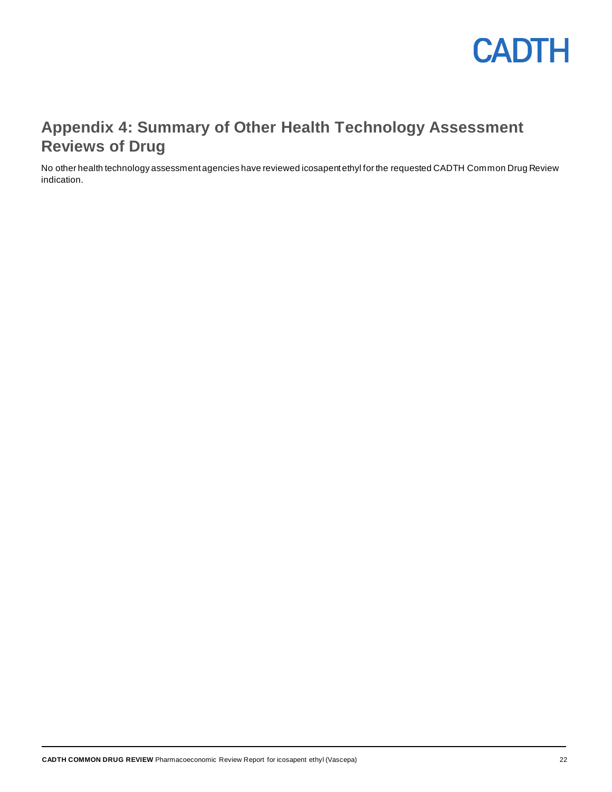

## <span id="page-21-0"></span>**Appendix 4: Summary of Other Health Technology Assessment Reviews of Drug**

No other health technology assessment agencies have reviewed icosapent ethyl for the requested CADTH Common Drug Review indication.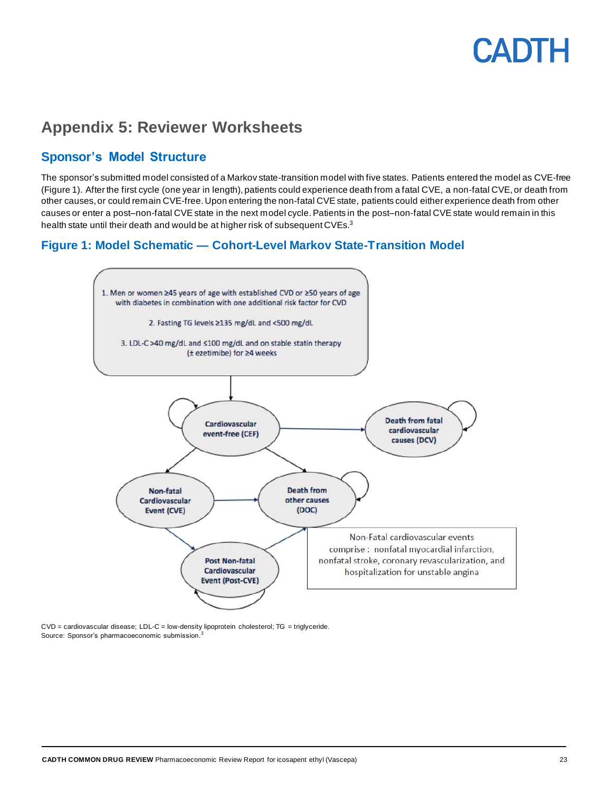## <span id="page-22-0"></span>**Appendix 5: Reviewer Worksheets**

### **Sponsor's Model Structure**

The sponsor's submitted model consisted of a Markov state-transition model with five states. Patients entered the model as CVE-free [\(Figure 1\)](#page-22-1). After the first cycle (one year in length), patients could experience death from a fatal CVE, a non-fatal CVE, or death from other causes, or could remain CVE-free. Upon entering the non-fatal CVE state, patients could either experience death from other causes or enter a post–non-fatal CVE state in the next model cycle. Patients in the post–non-fatal CVE state would remain in this health state until their death and would be at higher risk of subsequent CVEs.<sup>3</sup>

### <span id="page-22-1"></span>**Figure 1: Model Schematic — Cohort-Level Markov State-Transition Model**



CVD = cardiovascular disease; LDL-C = low-density lipoprotein cholesterol; TG = triglyceride. Source: Sponsor's pharmacoeconomic submission.<sup>3</sup>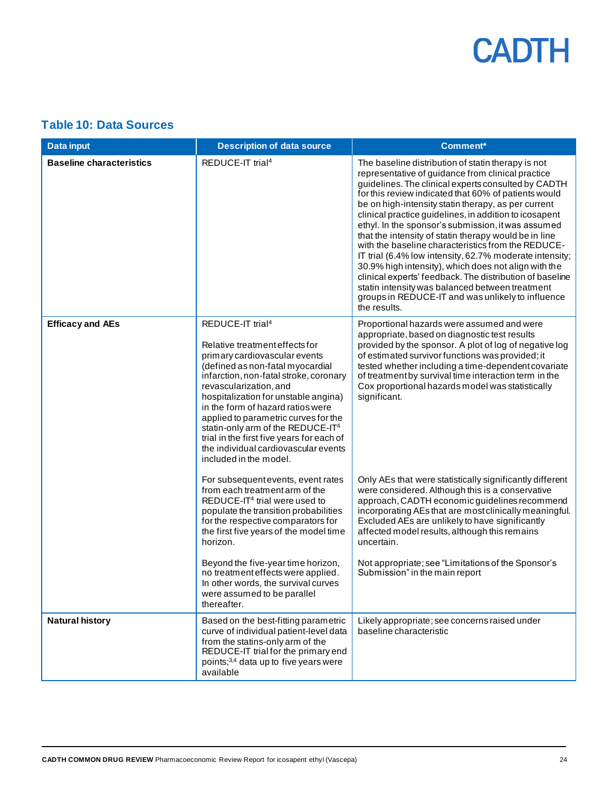### <span id="page-23-0"></span>**Table 10: Data Sources**

| <b>Data input</b>               | <b>Description of data source</b>                                                                                                                                                                                                                                                                                                                                                                                                                                                            | <b>Comment*</b>                                                                                                                                                                                                                                                                                                                                                                                                                                                                                                                                                                                                                                                                                                                                                                                                     |
|---------------------------------|----------------------------------------------------------------------------------------------------------------------------------------------------------------------------------------------------------------------------------------------------------------------------------------------------------------------------------------------------------------------------------------------------------------------------------------------------------------------------------------------|---------------------------------------------------------------------------------------------------------------------------------------------------------------------------------------------------------------------------------------------------------------------------------------------------------------------------------------------------------------------------------------------------------------------------------------------------------------------------------------------------------------------------------------------------------------------------------------------------------------------------------------------------------------------------------------------------------------------------------------------------------------------------------------------------------------------|
| <b>Baseline characteristics</b> | REDUCE-IT trial <sup>4</sup>                                                                                                                                                                                                                                                                                                                                                                                                                                                                 | The baseline distribution of statin therapy is not<br>representative of guidance from clinical practice<br>guidelines. The clinical experts consulted by CADTH<br>for this review indicated that 60% of patients would<br>be on high-intensity statin therapy, as per current<br>clinical practice guidelines, in addition to icosapent<br>ethyl. In the sponsor's submission, it was assumed<br>that the intensity of statin therapy would be in line<br>with the baseline characteristics from the REDUCE-<br>IT trial (6.4% low intensity, 62.7% moderate intensity;<br>30.9% high intensity), which does not align with the<br>clinical experts' feedback. The distribution of baseline<br>statin intensity was balanced between treatment<br>groups in REDUCE-IT and was unlikely to influence<br>the results. |
| <b>Efficacy and AEs</b>         | REDUCE-IT trial <sup>4</sup><br>Relative treatment effects for<br>primary cardiovascular events<br>(defined as non-fatal myocardial<br>infarction, non-fatal stroke, coronary<br>revascularization, and<br>hospitalization for unstable angina)<br>in the form of hazard ratios were<br>applied to parametric curves for the<br>statin-only arm of the REDUCE-IT <sup>4</sup><br>trial in the first five years for each of<br>the individual cardiovascular events<br>included in the model. | Proportional hazards were assumed and were<br>appropriate, based on diagnostic test results<br>provided by the sponsor. A plot of log of negative log<br>of estimated survivor functions was provided; it<br>tested whether including a time-dependent covariate<br>of treatment by survival time interaction term in the<br>Cox proportional hazards model was statistically<br>significant.                                                                                                                                                                                                                                                                                                                                                                                                                       |
|                                 | For subsequent events, event rates<br>from each treatment arm of the<br>REDUCE-IT <sup>4</sup> trial were used to<br>populate the transition probabilities<br>for the respective comparators for<br>the first five years of the model time<br>horizon.<br>Beyond the five-year time horizon,<br>no treatment effects were applied.                                                                                                                                                           | Only AEs that were statistically significantly different<br>were considered. Although this is a conservative<br>approach, CADTH economic guidelines recommend<br>incorporating AEs that are most clinically meaningful.<br>Excluded AEs are unlikely to have significantly<br>affected model results, although this remains<br>uncertain.<br>Not appropriate; see "Limitations of the Sponsor's<br>Submission" in the main report                                                                                                                                                                                                                                                                                                                                                                                   |
|                                 | In other words, the survival curves<br>were assumed to be parallel<br>thereafter.                                                                                                                                                                                                                                                                                                                                                                                                            |                                                                                                                                                                                                                                                                                                                                                                                                                                                                                                                                                                                                                                                                                                                                                                                                                     |
| <b>Natural history</b>          | Based on the best-fitting parametric<br>curve of individual patient-level data<br>from the statins-only arm of the<br>REDUCE-IT trial for the primary end<br>points; <sup>3,4</sup> data up to five years were<br>available                                                                                                                                                                                                                                                                  | Likely appropriate; see concerns raised under<br>baseline characteristic                                                                                                                                                                                                                                                                                                                                                                                                                                                                                                                                                                                                                                                                                                                                            |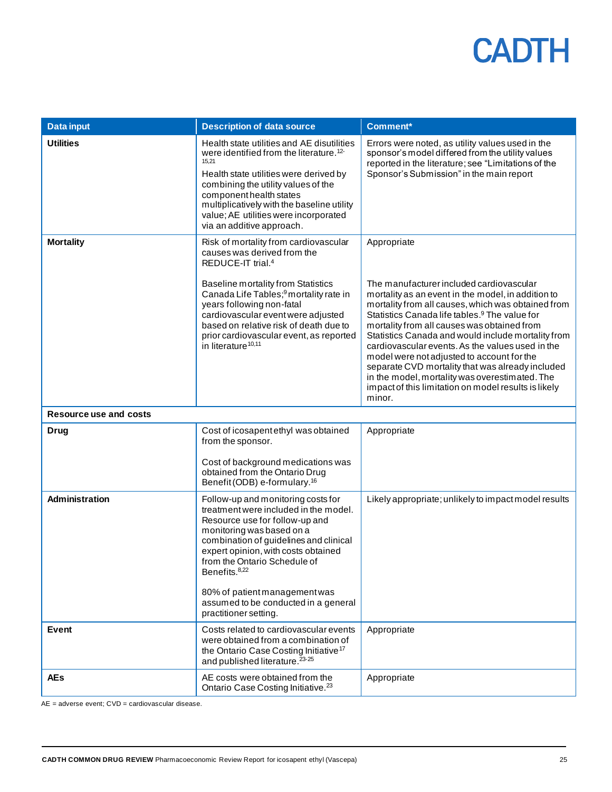| <b>Data input</b>             | <b>Description of data source</b>                                                                                                                                                                                                                                                                                                                                                                  | <b>Comment*</b>                                                                                                                                                                                                                                                                                                                                                                                                                                                                                                                                                                                                 |
|-------------------------------|----------------------------------------------------------------------------------------------------------------------------------------------------------------------------------------------------------------------------------------------------------------------------------------------------------------------------------------------------------------------------------------------------|-----------------------------------------------------------------------------------------------------------------------------------------------------------------------------------------------------------------------------------------------------------------------------------------------------------------------------------------------------------------------------------------------------------------------------------------------------------------------------------------------------------------------------------------------------------------------------------------------------------------|
| <b>Utilities</b>              | Health state utilities and AE disutilities<br>were identified from the literature. <sup>12-</sup><br>15,21<br>Health state utilities were derived by<br>combining the utility values of the<br>component health states<br>multiplicatively with the baseline utility<br>value; AE utilities were incorporated<br>via an additive approach.                                                         | Errors were noted, as utility values used in the<br>sponsor's model differed from the utility values<br>reported in the literature; see "Limitations of the<br>Sponsor's Submission" in the main report                                                                                                                                                                                                                                                                                                                                                                                                         |
| <b>Mortality</b>              | Risk of mortality from cardiovascular<br>causes was derived from the<br>REDUCE-IT trial. <sup>4</sup><br><b>Baseline mortality from Statistics</b><br>Canada Life Tables; <sup>9</sup> mortality rate in<br>years following non-fatal<br>cardiovascular event were adjusted<br>based on relative risk of death due to<br>prior cardiovascular event, as reported<br>in literature <sup>10,11</sup> | Appropriate<br>The manufacturer included cardiovascular<br>mortality as an event in the model, in addition to<br>mortality from all causes, which was obtained from<br>Statistics Canada life tables. <sup>9</sup> The value for<br>mortality from all causes was obtained from<br>Statistics Canada and would include mortality from<br>cardiovascular events. As the values used in the<br>model were not adjusted to account for the<br>separate CVD mortality that was already included<br>in the model, mortality was overestimated. The<br>impact of this limitation on model results is likely<br>minor. |
| <b>Resource use and costs</b> |                                                                                                                                                                                                                                                                                                                                                                                                    |                                                                                                                                                                                                                                                                                                                                                                                                                                                                                                                                                                                                                 |
| Drug                          | Cost of icosapent ethyl was obtained<br>from the sponsor.<br>Cost of background medications was<br>obtained from the Ontario Drug<br>Benefit (ODB) e-formulary. <sup>16</sup>                                                                                                                                                                                                                      | Appropriate                                                                                                                                                                                                                                                                                                                                                                                                                                                                                                                                                                                                     |
| Administration                | Follow-up and monitoring costs for<br>treatment were included in the model.<br>Resource use for follow-up and<br>monitoring was based on a<br>combination of guidelines and clinical<br>expert opinion, with costs obtained<br>from the Ontario Schedule of<br>Benefits. <sup>8,22</sup><br>80% of patient management was<br>assumed to be conducted in a general<br>practitioner setting.         | Likely appropriate; unlikely to impact model results                                                                                                                                                                                                                                                                                                                                                                                                                                                                                                                                                            |
| <b>Event</b>                  | Costs related to cardiovascular events<br>were obtained from a combination of<br>the Ontario Case Costing Initiative <sup>17</sup><br>and published literature. <sup>23-25</sup>                                                                                                                                                                                                                   | Appropriate                                                                                                                                                                                                                                                                                                                                                                                                                                                                                                                                                                                                     |
| <b>AEs</b>                    | AE costs were obtained from the<br>Ontario Case Costing Initiative. <sup>23</sup>                                                                                                                                                                                                                                                                                                                  | Appropriate                                                                                                                                                                                                                                                                                                                                                                                                                                                                                                                                                                                                     |

AE = adverse event; CVD = cardiovascular disease.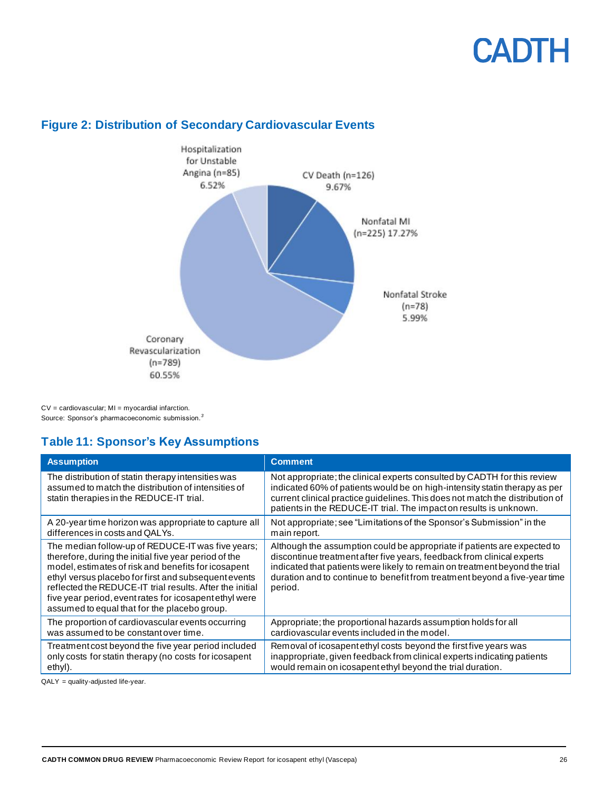

### <span id="page-25-1"></span>**Figure 2: Distribution of Secondary Cardiovascular Events**

CV = cardiovascular; MI = myocardial infarction. Source: Sponsor's pharmacoeconomic submission. *3*

### <span id="page-25-0"></span>**Table 11: Sponsor's Key Assumptions**

| <b>Assumption</b>                                                                                                                                                                                                                                                                                                                                                                               | <b>Comment</b>                                                                                                                                                                                                                                                                                                             |
|-------------------------------------------------------------------------------------------------------------------------------------------------------------------------------------------------------------------------------------------------------------------------------------------------------------------------------------------------------------------------------------------------|----------------------------------------------------------------------------------------------------------------------------------------------------------------------------------------------------------------------------------------------------------------------------------------------------------------------------|
| The distribution of statin therapy intensities was<br>assumed to match the distribution of intensities of<br>statin therapies in the REDUCE-IT trial.                                                                                                                                                                                                                                           | Not appropriate; the clinical experts consulted by CADTH for this review<br>indicated 60% of patients would be on high-intensity statin therapy as per<br>current clinical practice guidelines. This does not match the distribution of<br>patients in the REDUCE-IT trial. The impact on results is unknown.              |
| A 20-year time horizon was appropriate to capture all                                                                                                                                                                                                                                                                                                                                           | Not appropriate; see "Limitations of the Sponsor's Submission" in the                                                                                                                                                                                                                                                      |
| differences in costs and QALYs.                                                                                                                                                                                                                                                                                                                                                                 | main report.                                                                                                                                                                                                                                                                                                               |
| The median follow-up of REDUCE-IT was five years;<br>therefore, during the initial five year period of the<br>model, estimates of risk and benefits for icosapent<br>ethyl versus placebo for first and subsequent events<br>reflected the REDUCE-IT trial results. After the initial<br>five year period, event rates for icosapent ethyl were<br>assumed to equal that for the placebo group. | Although the assumption could be appropriate if patients are expected to<br>discontinue treatment after five years, feedback from clinical experts<br>indicated that patients were likely to remain on treatment beyond the trial<br>duration and to continue to benefit from treatment beyond a five-year time<br>period. |
| The proportion of cardiovascular events occurring                                                                                                                                                                                                                                                                                                                                               | Appropriate; the proportional hazards assumption holds for all                                                                                                                                                                                                                                                             |
| was assumed to be constant over time.                                                                                                                                                                                                                                                                                                                                                           | cardiovascular events included in the model.                                                                                                                                                                                                                                                                               |
| Treatment cost beyond the five year period included                                                                                                                                                                                                                                                                                                                                             | Removal of icosapent ethyl costs beyond the first five years was                                                                                                                                                                                                                                                           |
| only costs for statin therapy (no costs for icosapent                                                                                                                                                                                                                                                                                                                                           | inappropriate, given feedback from clinical experts indicating patients                                                                                                                                                                                                                                                    |
| ethyl).                                                                                                                                                                                                                                                                                                                                                                                         | would remain on icosapent ethyl beyond the trial duration.                                                                                                                                                                                                                                                                 |

QALY = quality-adjusted life-year.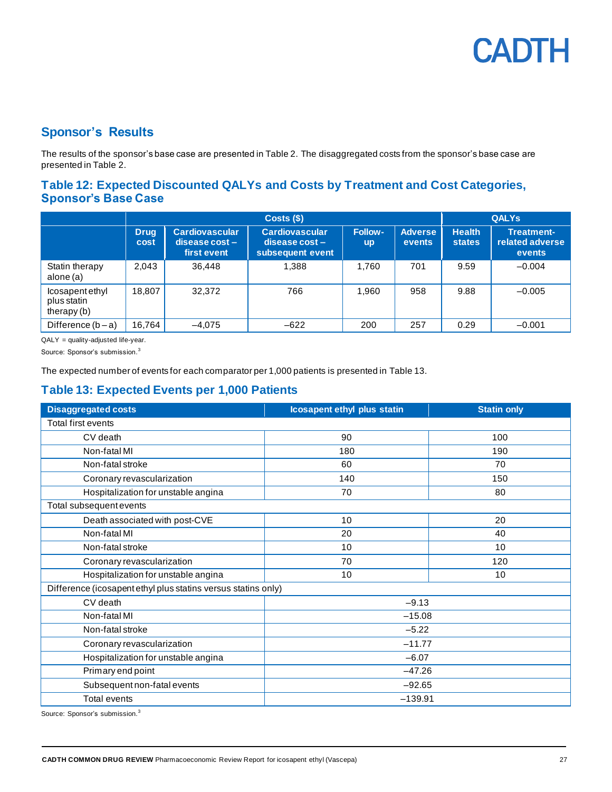### **Sponsor's Results**

The results of the sponsor's base case are presented i[n Table 2.](#page-11-2) The disaggregated costs from the sponsor's base case are presented in [Table 2.](#page-11-2)

### <span id="page-26-0"></span>**Table 12: Expected Discounted QALYs and Costs by Treatment and Cost Categories, Sponsor's Base Case**

|                                                |                     |                                                          | <b>QALYS</b>                                                  |                             |                                 |                                |                                                       |
|------------------------------------------------|---------------------|----------------------------------------------------------|---------------------------------------------------------------|-----------------------------|---------------------------------|--------------------------------|-------------------------------------------------------|
|                                                | <b>Drug</b><br>cost | <b>Cardiovascular</b><br>$disease cost -$<br>first event | <b>Cardiovascular</b><br>$disease cost -$<br>subsequent event | <b>Follow-</b><br><b>up</b> | <b>Adverse</b><br><b>events</b> | <b>Health</b><br><b>states</b> | <b>Treatment-</b><br>related adverse<br><b>events</b> |
| Statin therapy<br>alone (a)                    | 2.043               | 36.448                                                   | 1,388                                                         | 1.760                       | 701                             | 9.59                           | $-0.004$                                              |
| lcosapentethyl<br>plus statin<br>therapy $(b)$ | 18.807              | 32,372                                                   | 766                                                           | 1,960                       | 958                             | 9.88                           | $-0.005$                                              |
| Difference $(b - a)$                           | 16.764              | $-4.075$                                                 | $-622$                                                        | 200                         | 257                             | 0.29                           | $-0.001$                                              |

QALY = quality-adjusted life-year.

Source: Sponsor's submission.<sup>3</sup>

The expected number of events for each comparator per 1,000 patients is presented i[n Table 13.](#page-26-1)

### <span id="page-26-1"></span>**Table 13: Expected Events per 1,000 Patients**

| <b>Disaggregated costs</b>                                    | <b>Icosapent ethyl plus statin</b> | <b>Statin only</b> |  |  |  |  |  |
|---------------------------------------------------------------|------------------------------------|--------------------|--|--|--|--|--|
| Total first events                                            |                                    |                    |  |  |  |  |  |
| CV death                                                      | 90                                 | 100                |  |  |  |  |  |
| Non-fatal MI                                                  | 180                                | 190                |  |  |  |  |  |
| Non-fatal stroke                                              | 60                                 | 70                 |  |  |  |  |  |
| Coronary revascularization                                    | 140                                | 150                |  |  |  |  |  |
| Hospitalization for unstable angina                           | 70                                 | 80                 |  |  |  |  |  |
| Total subsequent events                                       |                                    |                    |  |  |  |  |  |
| Death associated with post-CVE                                | 10                                 | 20                 |  |  |  |  |  |
| Non-fatal MI                                                  | 20                                 | 40                 |  |  |  |  |  |
| Non-fatal stroke                                              | 10                                 | 10                 |  |  |  |  |  |
| Coronary revascularization                                    | 70                                 | 120                |  |  |  |  |  |
| Hospitalization for unstable angina                           | 10                                 | 10                 |  |  |  |  |  |
| Difference (icosapent ethyl plus statins versus statins only) |                                    |                    |  |  |  |  |  |
| CV death                                                      | $-9.13$                            |                    |  |  |  |  |  |
| Non-fatal MI                                                  | $-15.08$                           |                    |  |  |  |  |  |
| Non-fatal stroke                                              | $-5.22$                            |                    |  |  |  |  |  |
| Coronary revascularization                                    | $-11.77$                           |                    |  |  |  |  |  |
| Hospitalization for unstable angina                           | $-6.07$                            |                    |  |  |  |  |  |
| Primary end point                                             | $-47.26$                           |                    |  |  |  |  |  |
| Subsequent non-fatal events                                   | $-92.65$                           |                    |  |  |  |  |  |
| <b>Total events</b>                                           | $-139.91$                          |                    |  |  |  |  |  |

Source: Sponsor's submission.<sup>3</sup>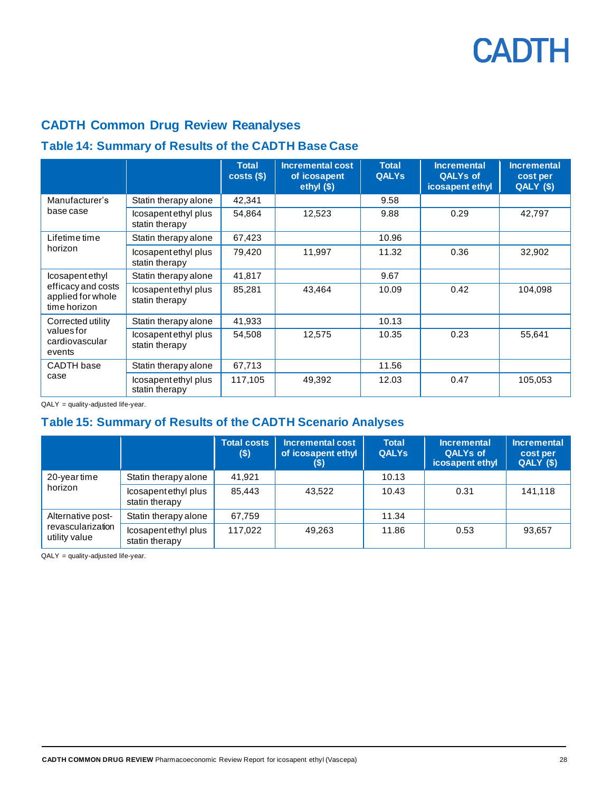## **CADTH Common Drug Review Reanalyses**

### <span id="page-27-0"></span>**Table 14: Summary of Results of the CADTH Base Case**

|                                                         |                                       | <b>Total</b><br>costs( | <b>Incremental cost</b><br>of icosapent<br>ethyl $($ \$) | <b>Total</b><br><b>QALYs</b> | <b>Incremental</b><br><b>QALYs of</b><br>icosapent ethyl | <b>Incremental</b><br>cost per<br>QALY (\$) |
|---------------------------------------------------------|---------------------------------------|------------------------|----------------------------------------------------------|------------------------------|----------------------------------------------------------|---------------------------------------------|
| Manufacturer's                                          | Statin therapy alone                  | 42,341                 |                                                          | 9.58                         |                                                          |                                             |
| base case                                               | Icosapentethyl plus<br>statin therapy | 54,864                 | 12,523                                                   | 9.88                         | 0.29                                                     | 42,797                                      |
| Lifetime time                                           | Statin therapy alone                  | 67,423                 |                                                          | 10.96                        |                                                          |                                             |
| horizon                                                 | Icosapentethyl plus<br>statin therapy | 79,420                 | 11,997                                                   | 11.32                        | 0.36                                                     | 32,902                                      |
| Icosapent ethyl                                         | Statin therapy alone                  | 41,817                 |                                                          | 9.67                         |                                                          |                                             |
| efficacy and costs<br>applied for whole<br>time horizon | Icosapentethyl plus<br>statin therapy | 85,281                 | 43,464                                                   | 10.09                        | 0.42                                                     | 104,098                                     |
| Corrected utility                                       | Statin therapy alone                  | 41,933                 |                                                          | 10.13                        |                                                          |                                             |
| values for<br>cardiovascular<br>events                  | Icosapentethyl plus<br>statin therapy | 54.508                 | 12,575                                                   | 10.35                        | 0.23                                                     | 55,641                                      |
| CADTH base                                              | Statin therapy alone                  | 67,713                 |                                                          | 11.56                        |                                                          |                                             |
| case                                                    | Icosapentethyl plus<br>statin therapy | 117,105                | 49,392                                                   | 12.03                        | 0.47                                                     | 105,053                                     |

QALY = quality-adjusted life-year.

### <span id="page-27-1"></span>**Table 15: Summary of Results of the CADTH Scenario Analyses**

|                                    |                                       | <b>Total costs</b><br>$($ \$) | <b>Incremental cost</b><br>of icosapent ethyl<br>(\$) | <b>Total</b><br><b>QALYs</b> | <b>Incremental</b><br><b>QALYs of</b><br>icosapent ethyl | <b>Incremental</b><br>cost per<br>QALY (\$) |
|------------------------------------|---------------------------------------|-------------------------------|-------------------------------------------------------|------------------------------|----------------------------------------------------------|---------------------------------------------|
| 20-year time                       | Statin therapy alone                  | 41.921                        |                                                       | 10.13                        |                                                          |                                             |
| horizon                            | Icosapentethyl plus<br>statin therapy | 85,443                        | 43,522                                                | 10.43                        | 0.31                                                     | 141,118                                     |
| Alternative post-                  | Statin therapy alone                  | 67,759                        |                                                       | 11.34                        |                                                          |                                             |
| revascularization<br>utility value | Icosapentethyl plus<br>statin therapy | 117.022                       | 49,263                                                | 11.86                        | 0.53                                                     | 93,657                                      |

QALY = quality-adjusted life-year.